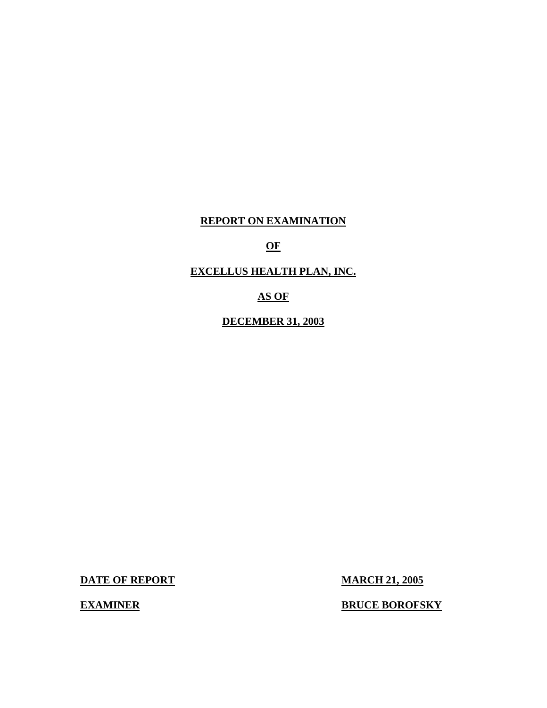# **REPORT ON EXAMINATION**

#### **OF**

# **EXCELLUS HEALTH PLAN, INC.**

# **AS OF**

# **DECEMBER 31, 2003**

**DATE OF REPORT MARCH 21, 2005** 

**EXAMINER BOROFSKY**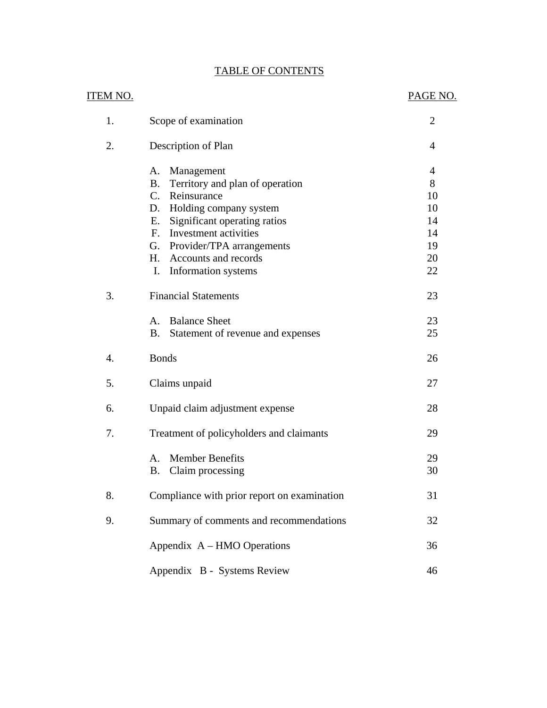|--|

|                 | <b>TABLE OF CONTENTS</b>                                                                                                                                                                                                                                                                                               |                                                  |
|-----------------|------------------------------------------------------------------------------------------------------------------------------------------------------------------------------------------------------------------------------------------------------------------------------------------------------------------------|--------------------------------------------------|
| <u>ITEM NO.</u> |                                                                                                                                                                                                                                                                                                                        | PAGE NO.                                         |
| 1.              | Scope of examination                                                                                                                                                                                                                                                                                                   | $\overline{2}$                                   |
| 2.              | Description of Plan                                                                                                                                                                                                                                                                                                    | 4                                                |
|                 | Management<br>Α.<br><b>B.</b><br>Territory and plan of operation<br>$C_{\cdot}$<br>Reinsurance<br>Holding company system<br>D.<br>Significant operating ratios<br>Е.<br>Investment activities<br>$F_{\cdot}$<br>Provider/TPA arrangements<br>G.<br>H <sub>1</sub><br>Accounts and records<br>Information systems<br>I. | 4<br>8<br>10<br>10<br>14<br>14<br>19<br>20<br>22 |
| 3.              | <b>Financial Statements</b><br><b>Balance Sheet</b><br>A.<br><b>B.</b><br>Statement of revenue and expenses                                                                                                                                                                                                            | 23<br>23<br>25                                   |
| 4.              | <b>Bonds</b>                                                                                                                                                                                                                                                                                                           | 26                                               |
| 5.              | Claims unpaid                                                                                                                                                                                                                                                                                                          | 27                                               |
| 6.              | Unpaid claim adjustment expense                                                                                                                                                                                                                                                                                        | 28                                               |
| 7.              | Treatment of policyholders and claimants                                                                                                                                                                                                                                                                               | 29                                               |
|                 | <b>Member Benefits</b><br>A.<br>B. Claim processing                                                                                                                                                                                                                                                                    | 29<br>30                                         |
| 8.              | Compliance with prior report on examination                                                                                                                                                                                                                                                                            | 31                                               |
| 9.              | Summary of comments and recommendations                                                                                                                                                                                                                                                                                | 32                                               |
|                 | Appendix A – HMO Operations                                                                                                                                                                                                                                                                                            | 36                                               |
|                 | Appendix B - Systems Review                                                                                                                                                                                                                                                                                            | 46                                               |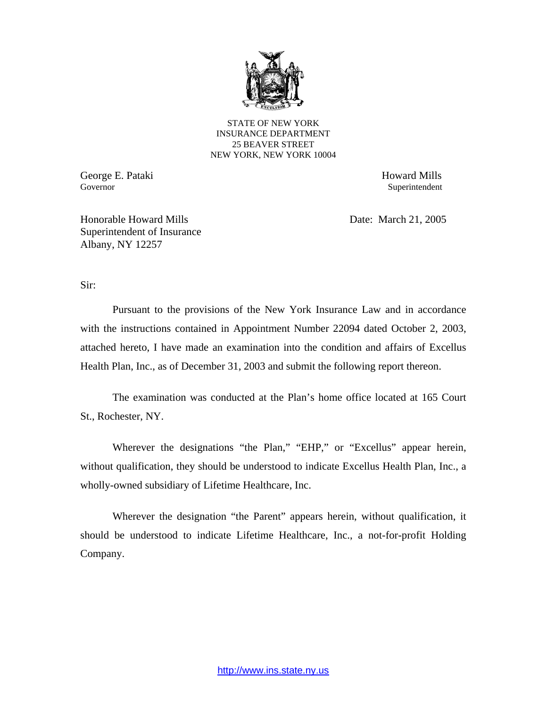

STATE OF NEW YORK INSURANCE DEPARTMENT 25 BEAVER STREET NEW YORK, NEW YORK 10004

George E. Pataki Howard Mills Governor Superintendent Superintendent Superintendent Superintendent Superintendent Superintendent Superintendent

Honorable Howard Mills Date: March 21, 2005 Superintendent of Insurance Albany, NY 12257

Sir:

Pursuant to the provisions of the New York Insurance Law and in accordance with the instructions contained in Appointment Number 22094 dated October 2, 2003, attached hereto, I have made an examination into the condition and affairs of Excellus Health Plan, Inc., as of December 31, 2003 and submit the following report thereon.

The examination was conducted at the Plan's home office located at 165 Court St., Rochester, NY.

Wherever the designations "the Plan," "EHP," or "Excellus" appear herein, without qualification, they should be understood to indicate Excellus Health Plan, Inc., a wholly-owned subsidiary of Lifetime Healthcare, Inc.

Wherever the designation "the Parent" appears herein, without qualification, it should be understood to indicate Lifetime Healthcare, Inc., a not-for-profit Holding Company.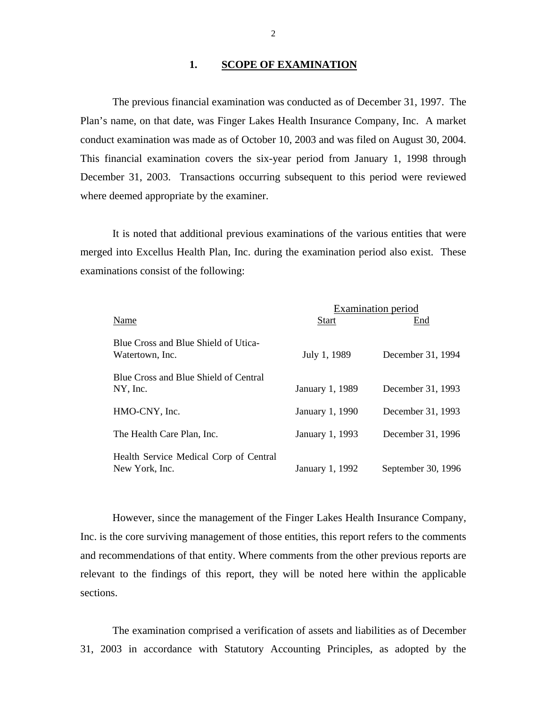#### **1. SCOPE OF EXAMINATION**

The previous financial examination was conducted as of December 31, 1997. The Plan's name, on that date, was Finger Lakes Health Insurance Company, Inc. A market conduct examination was made as of October 10, 2003 and was filed on August 30, 2004. This financial examination covers the six-year period from January 1, 1998 through December 31, 2003. Transactions occurring subsequent to this period were reviewed where deemed appropriate by the examiner.

It is noted that additional previous examinations of the various entities that were merged into Excellus Health Plan, Inc. during the examination period also exist. These examinations consist of the following:

|                                                          | <b>Examination period</b> |                    |  |  |  |
|----------------------------------------------------------|---------------------------|--------------------|--|--|--|
| Name                                                     | <b>Start</b>              | End                |  |  |  |
| Blue Cross and Blue Shield of Utica-<br>Watertown, Inc.  | July 1, 1989              | December 31, 1994  |  |  |  |
| Blue Cross and Blue Shield of Central<br>NY, Inc.        | January 1, 1989           | December 31, 1993  |  |  |  |
| HMO-CNY, Inc.                                            | January 1, 1990           | December 31, 1993  |  |  |  |
| The Health Care Plan, Inc.                               | January 1, 1993           | December 31, 1996  |  |  |  |
| Health Service Medical Corp of Central<br>New York, Inc. | January 1, 1992           | September 30, 1996 |  |  |  |

However, since the management of the Finger Lakes Health Insurance Company, Inc. is the core surviving management of those entities, this report refers to the comments and recommendations of that entity. Where comments from the other previous reports are relevant to the findings of this report, they will be noted here within the applicable sections.

The examination comprised a verification of assets and liabilities as of December 31, 2003 in accordance with Statutory Accounting Principles, as adopted by the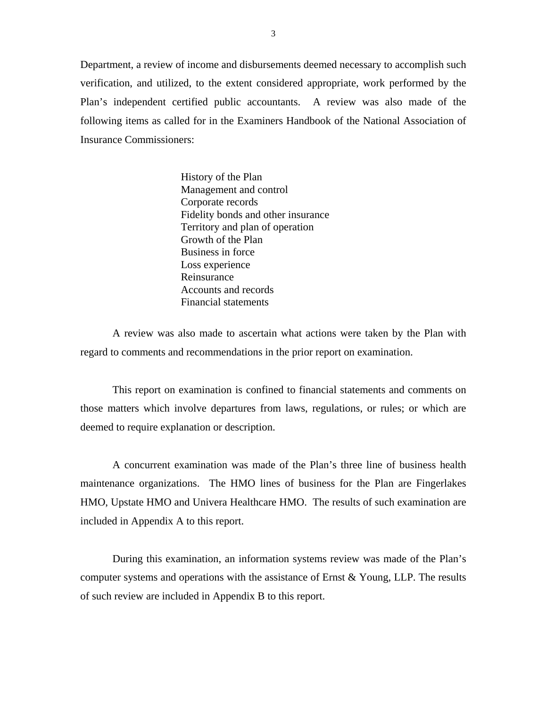Department, a review of income and disbursements deemed necessary to accomplish such verification, and utilized, to the extent considered appropriate, work performed by the Plan's independent certified public accountants. A review was also made of the following items as called for in the Examiners Handbook of the National Association of Insurance Commissioners:

> History of the Plan Management and control Corporate records Fidelity bonds and other insurance Territory and plan of operation Growth of the Plan Business in force Loss experience Reinsurance Accounts and records Financial statements

A review was also made to ascertain what actions were taken by the Plan with regard to comments and recommendations in the prior report on examination.

This report on examination is confined to financial statements and comments on those matters which involve departures from laws, regulations, or rules; or which are deemed to require explanation or description.

A concurrent examination was made of the Plan's three line of business health maintenance organizations. The HMO lines of business for the Plan are Fingerlakes HMO, Upstate HMO and Univera Healthcare HMO. The results of such examination are included in Appendix A to this report.

During this examination, an information systems review was made of the Plan's computer systems and operations with the assistance of Ernst & Young, LLP. The results of such review are included in Appendix B to this report.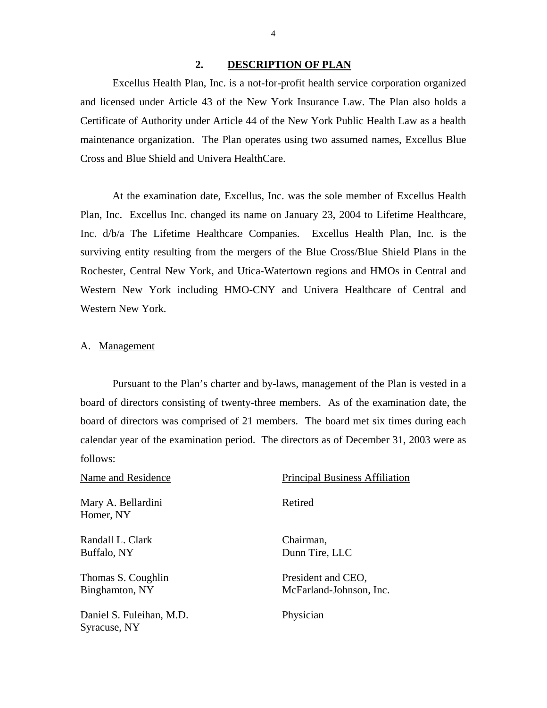#### **2. DESCRIPTION OF PLAN**

<span id="page-5-0"></span>Excellus Health Plan, Inc. is a not-for-profit health service corporation organized and licensed under Article 43 of the New York Insurance Law. The Plan also holds a Certificate of Authority under Article 44 of the New York Public Health Law as a health maintenance organization. The Plan operates using two assumed names, Excellus Blue Cross and Blue Shield and Univera HealthCare.

At the examination date, Excellus, Inc. was the sole member of Excellus Health Plan, Inc. Excellus Inc. changed its name on January 23, 2004 to Lifetime Healthcare, Inc. d/b/a The Lifetime Healthcare Companies. Excellus Health Plan, Inc. is the surviving entity resulting from the mergers of the Blue Cross/Blue Shield Plans in the Rochester, Central New York, and Utica-Watertown regions and HMOs in Central and Western New York including HMO-CNY and Univera Healthcare of Central and Western New York.

#### A. Management

Syracuse, NY

Pursuant to the Plan's charter and by-laws, management of the Plan is vested in a board of directors consisting of twenty-three members. As of the examination date, the board of directors was comprised of 21 members. The board met six times during each calendar year of the examination period. The directors as of December 31, 2003 were as follows:

Name and Residence Principal Business Affiliation Mary A. Bellardini Retired Homer, NY Randall L. Clark Chairman, Buffalo, NY Dunn Tire, LLC Thomas S. Coughlin President and CEO, Binghamton, NY McFarland-Johnson, Inc. Daniel S. Fuleihan, M.D. Physician

4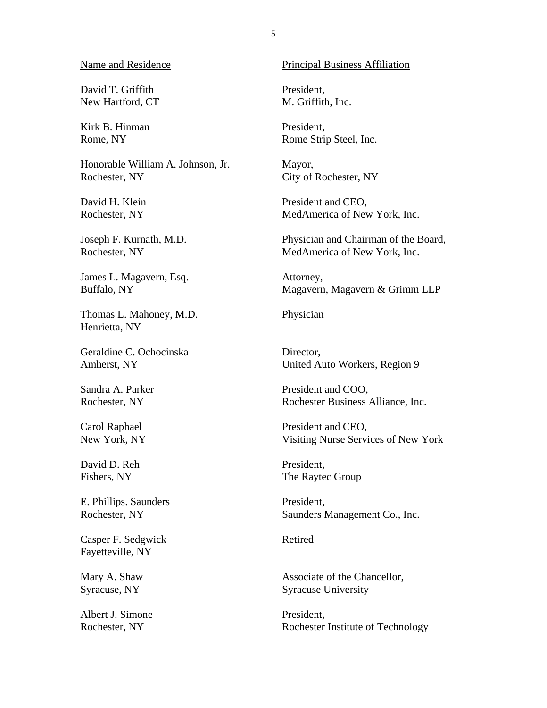David T. Griffith New Hartford, CT

Kirk B. Hinman Rome, NY

Honorable William A. Johnson, Jr. Rochester, NY

David H. Klein Rochester, NY

Joseph F. Kurnath, M.D. Rochester, NY

James L. Magavern, Esq. Buffalo, NY

Thomas L. Mahoney, M.D. Henrietta, NY

Geraldine C. Ochocinska Amherst, NY

Sandra A. Parker Rochester, NY

Carol Raphael New York, NY

David D. Reh Fishers, NY

E. Phillips. Saunders Rochester, NY

Casper F. Sedgwick Fayetteville, NY

Mary A. Shaw Syracuse, NY

Albert J. Simone Rochester, NY

Principal Business Affiliation

President, M. Griffith, Inc.

President, Rome Strip Steel, Inc.

Mayor, City of Rochester, NY

President and CEO, MedAmerica of New York, Inc.

Physician and Chairman of the Board, MedAmerica of New York, Inc.

Attorney, Magavern, Magavern & Grimm LLP

Physician

Director, United Auto Workers, Region 9

President and COO, Rochester Business Alliance, Inc.

President and CEO, Visiting Nurse Services of New York

President, The Raytec Group

President, Saunders Management Co., Inc.

Retired

Associate of the Chancellor, Syracuse University

President, Rochester Institute of Technology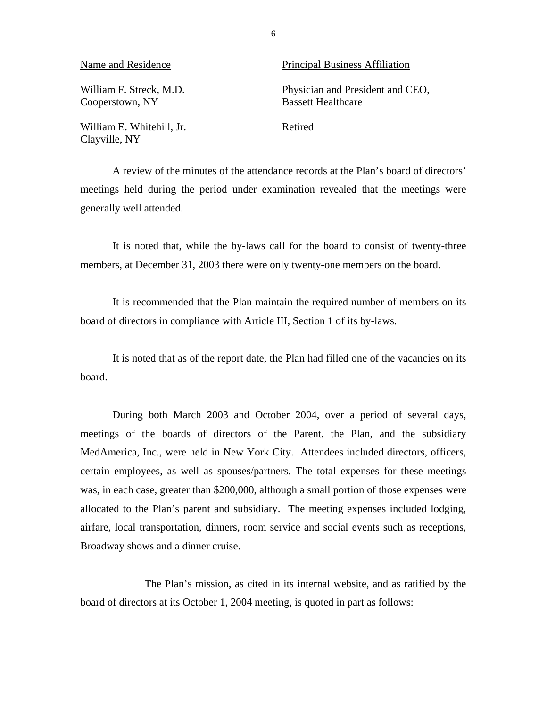| Name and Residence                         | <b>Principal Business Affiliation</b>                         |
|--------------------------------------------|---------------------------------------------------------------|
| William F. Streck, M.D.<br>Cooperstown, NY | Physician and President and CEO,<br><b>Bassett Healthcare</b> |
| William E. Whitehill, Jr.<br>Clayville, NY | Retired                                                       |

A review of the minutes of the attendance records at the Plan's board of directors' meetings held during the period under examination revealed that the meetings were generally well attended.

It is noted that, while the by-laws call for the board to consist of twenty-three members, at December 31, 2003 there were only twenty-one members on the board.

It is recommended that the Plan maintain the required number of members on its board of directors in compliance with Article III, Section 1 of its by-laws.

It is noted that as of the report date, the Plan had filled one of the vacancies on its board.

During both March 2003 and October 2004, over a period of several days, meetings of the boards of directors of the Parent, the Plan, and the subsidiary MedAmerica, Inc., were held in New York City. Attendees included directors, officers, certain employees, as well as spouses/partners. The total expenses for these meetings was, in each case, greater than \$200,000, although a small portion of those expenses were allocated to the Plan's parent and subsidiary. The meeting expenses included lodging, airfare, local transportation, dinners, room service and social events such as receptions, Broadway shows and a dinner cruise.

The Plan's mission, as cited in its internal website, and as ratified by the board of directors at its October 1, 2004 meeting, is quoted in part as follows:

6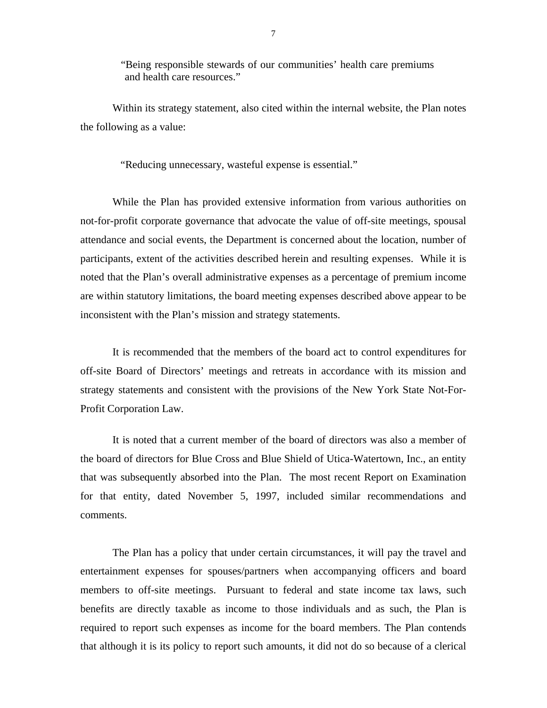"Being responsible stewards of our communities' health care premiums and health care resources."

Within its strategy statement, also cited within the internal website, the Plan notes the following as a value:

"Reducing unnecessary, wasteful expense is essential."

While the Plan has provided extensive information from various authorities on not-for-profit corporate governance that advocate the value of off-site meetings, spousal attendance and social events, the Department is concerned about the location, number of participants, extent of the activities described herein and resulting expenses. While it is noted that the Plan's overall administrative expenses as a percentage of premium income are within statutory limitations, the board meeting expenses described above appear to be inconsistent with the Plan's mission and strategy statements.

It is recommended that the members of the board act to control expenditures for off-site Board of Directors' meetings and retreats in accordance with its mission and strategy statements and consistent with the provisions of the New York State Not-For-Profit Corporation Law.

It is noted that a current member of the board of directors was also a member of the board of directors for Blue Cross and Blue Shield of Utica-Watertown, Inc., an entity that was subsequently absorbed into the Plan. The most recent Report on Examination for that entity, dated November 5, 1997, included similar recommendations and comments.

The Plan has a policy that under certain circumstances, it will pay the travel and entertainment expenses for spouses/partners when accompanying officers and board members to off-site meetings. Pursuant to federal and state income tax laws, such benefits are directly taxable as income to those individuals and as such, the Plan is required to report such expenses as income for the board members. The Plan contends that although it is its policy to report such amounts, it did not do so because of a clerical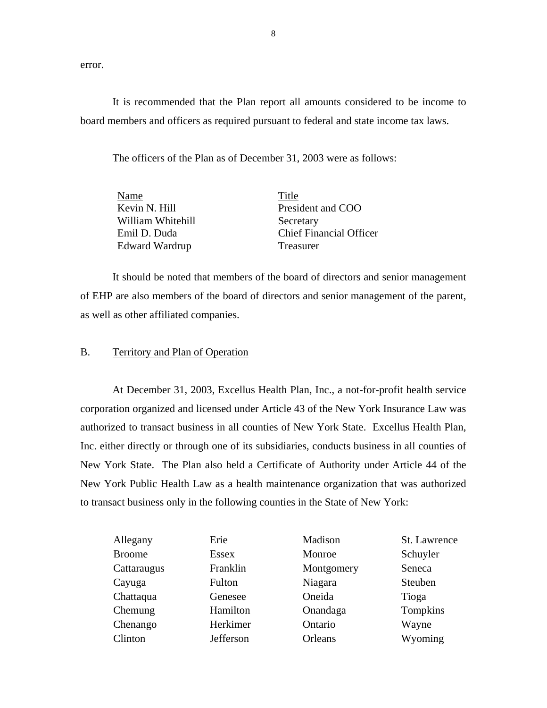error.

It is recommended that the Plan report all amounts considered to be income to board members and officers as required pursuant to federal and state income tax laws.

The officers of the Plan as of December 31, 2003 were as follows:

| Name              | Title                          |
|-------------------|--------------------------------|
| Kevin N. Hill     | President and COO              |
| William Whitehill | Secretary                      |
| Emil D. Duda      | <b>Chief Financial Officer</b> |
| Edward Wardrup    | <b>Treasurer</b>               |
|                   |                                |

It should be noted that members of the board of directors and senior management of EHP are also members of the board of directors and senior management of the parent, as well as other affiliated companies.

#### B. Territory and Plan of Operation

At December 31, 2003, Excellus Health Plan, Inc., a not-for-profit health service corporation organized and licensed under Article 43 of the New York Insurance Law was authorized to transact business in all counties of New York State. Excellus Health Plan, Inc. either directly or through one of its subsidiaries, conducts business in all counties of New York State. The Plan also held a Certificate of Authority under Article 44 of the New York Public Health Law as a health maintenance organization that was authorized to transact business only in the following counties in the State of New York:

| Allegany      | Erie         | Madison    | St. Lawrence |
|---------------|--------------|------------|--------------|
| <b>Broome</b> | <b>Essex</b> | Monroe     | Schuyler     |
| Cattaraugus   | Franklin     | Montgomery | Seneca       |
| Cayuga        | Fulton       | Niagara    | Steuben      |
| Chattaqua     | Genesee      | Oneida     | Tioga        |
| Chemung       | Hamilton     | Onandaga   | Tompkins     |
| Chenango      | Herkimer     | Ontario    | Wayne        |
| Clinton       | Jefferson    | Orleans    | Wyoming      |
|               |              |            |              |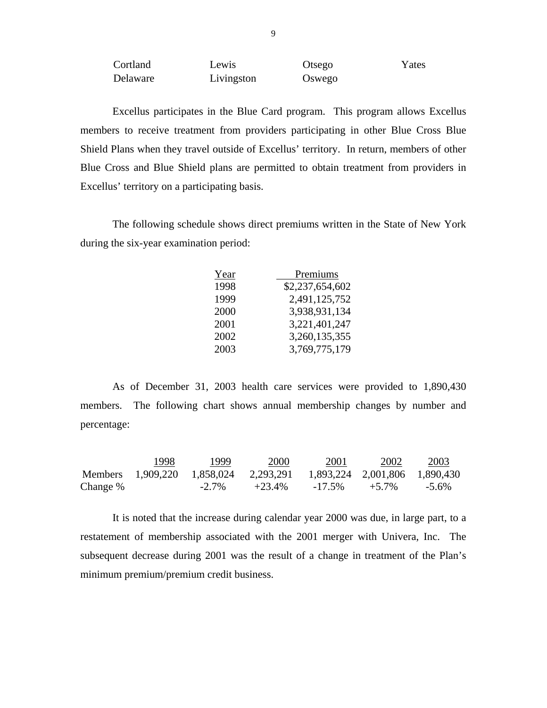Cortland Lewis Otsego Yates Delaware Livingston Oswego

Excellus participates in the Blue Card program. This program allows Excellus members to receive treatment from providers participating in other Blue Cross Blue Shield Plans when they travel outside of Excellus' territory. In return, members of other Blue Cross and Blue Shield plans are permitted to obtain treatment from providers in Excellus' territory on a participating basis.

The following schedule shows direct premiums written in the State of New York during the six-year examination period:

| Year | Premiums        |
|------|-----------------|
| 1998 | \$2,237,654,602 |
| 1999 | 2,491,125,752   |
| 2000 | 3,938,931,134   |
| 2001 | 3,221,401,247   |
| 2002 | 3,260,135,355   |
| 2003 | 3,769,775,179   |
|      |                 |

As of December 31, 2003 health care services were provided to 1,890,430 members. The following chart shows annual membership changes by number and percentage:

|          | 1998 | 1999     | 2000                                                                | 2001      | 2002     | 2003     |
|----------|------|----------|---------------------------------------------------------------------|-----------|----------|----------|
|          |      |          | Members 1,909,220 1,858,024 2,293,291 1,893,224 2,001,806 1,890,430 |           |          |          |
| Change % |      | $-2.7\%$ | $+23.4\%$                                                           | $-17.5\%$ | $+5.7\%$ | $-5.6\%$ |

It is noted that the increase during calendar year 2000 was due, in large part, to a restatement of membership associated with the 2001 merger with Univera, Inc. The subsequent decrease during 2001 was the result of a change in treatment of the Plan's minimum premium/premium credit business.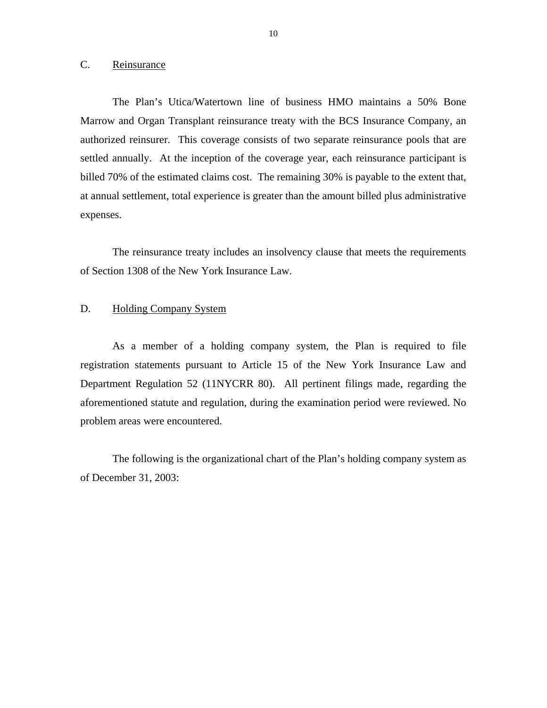#### <span id="page-11-0"></span>C. Reinsurance

The Plan's Utica/Watertown line of business HMO maintains a 50% Bone Marrow and Organ Transplant reinsurance treaty with the BCS Insurance Company, an authorized reinsurer. This coverage consists of two separate reinsurance pools that are settled annually. At the inception of the coverage year, each reinsurance participant is billed 70% of the estimated claims cost. The remaining 30% is payable to the extent that, at annual settlement, total experience is greater than the amount billed plus administrative expenses.

The reinsurance treaty includes an insolvency clause that meets the requirements of Section 1308 of the New York Insurance Law.

#### D. Holding Company System

As a member of a holding company system, the Plan is required to file registration statements pursuant to Article 15 of the New York Insurance Law and Department Regulation 52 (11NYCRR 80). All pertinent filings made, regarding the aforementioned statute and regulation, during the examination period were reviewed. No problem areas were encountered.

The following is the organizational chart of the Plan's holding company system as of December 31, 2003: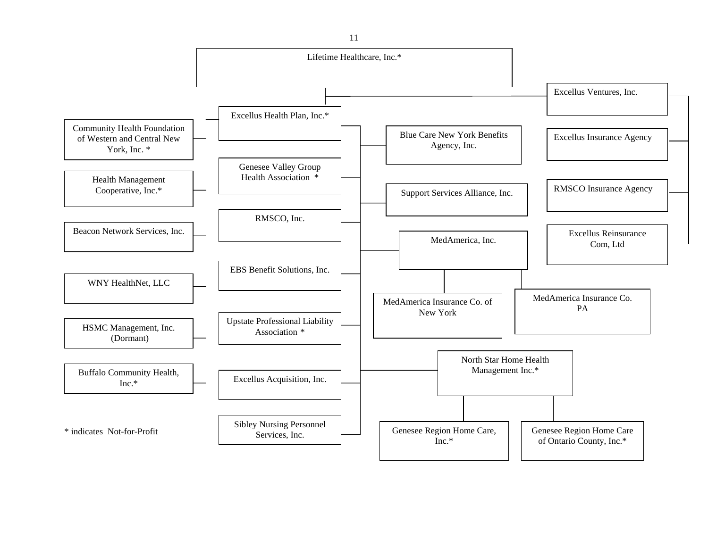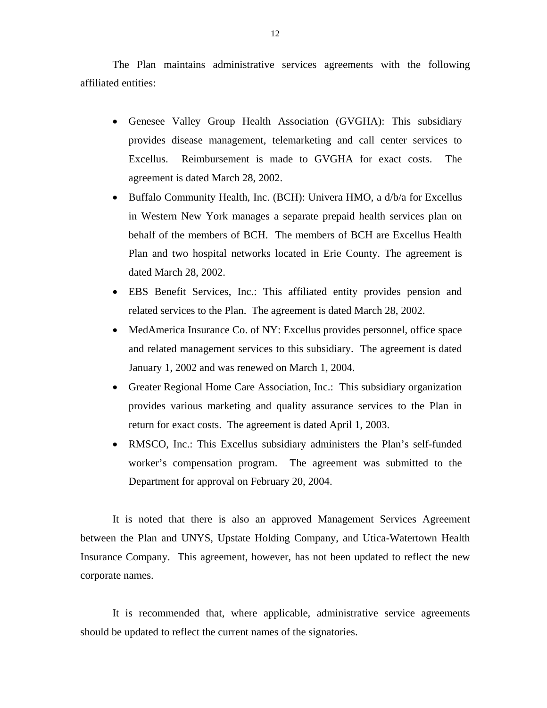The Plan maintains administrative services agreements with the following affiliated entities:

- Genesee Valley Group Health Association (GVGHA): This subsidiary provides disease management, telemarketing and call center services to Excellus. Reimbursement is made to GVGHA for exact costs. The agreement is dated March 28, 2002.
- Buffalo Community Health, Inc. (BCH): Univera HMO, a d/b/a for Excellus in Western New York manages a separate prepaid health services plan on behalf of the members of BCH. The members of BCH are Excellus Health Plan and two hospital networks located in Erie County. The agreement is dated March 28, 2002.
- EBS Benefit Services, Inc.: This affiliated entity provides pension and related services to the Plan. The agreement is dated March 28, 2002.
- MedAmerica Insurance Co. of NY: Excellus provides personnel, office space and related management services to this subsidiary. The agreement is dated January 1, 2002 and was renewed on March 1, 2004.
- Greater Regional Home Care Association, Inc.: This subsidiary organization provides various marketing and quality assurance services to the Plan in return for exact costs. The agreement is dated April 1, 2003.
- RMSCO, Inc.: This Excellus subsidiary administers the Plan's self-funded worker's compensation program. The agreement was submitted to the Department for approval on February 20, 2004.

It is noted that there is also an approved Management Services Agreement between the Plan and UNYS, Upstate Holding Company, and Utica-Watertown Health Insurance Company. This agreement, however, has not been updated to reflect the new corporate names.

It is recommended that, where applicable, administrative service agreements should be updated to reflect the current names of the signatories.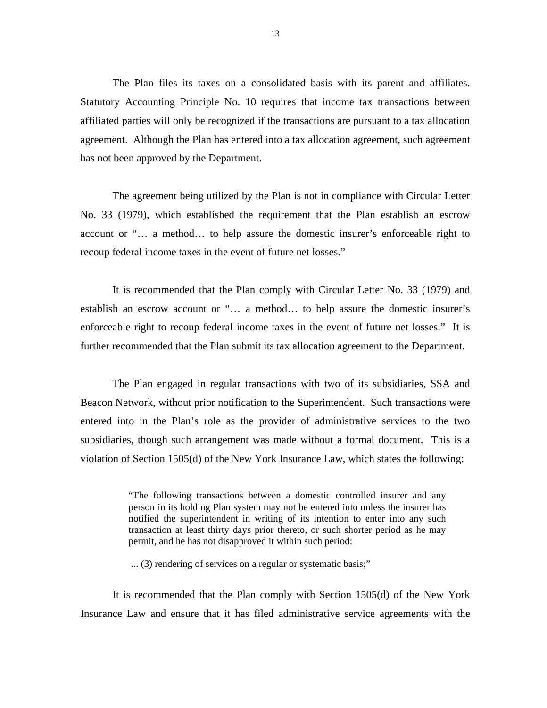The Plan files its taxes on a consolidated basis with its parent and affiliates. Statutory Accounting Principle No. 10 requires that income tax transactions between affiliated parties will only be recognized if the transactions are pursuant to a tax allocation agreement. Although the Plan has entered into a tax allocation agreement, such agreement has not been approved by the Department.

The agreement being utilized by the Plan is not in compliance with Circular Letter No. 33 (1979), which established the requirement that the Plan establish an escrow account or "… a method… to help assure the domestic insurer's enforceable right to recoup federal income taxes in the event of future net losses."

It is recommended that the Plan comply with Circular Letter No. 33 (1979) and establish an escrow account or "… a method… to help assure the domestic insurer's enforceable right to recoup federal income taxes in the event of future net losses." It is further recommended that the Plan submit its tax allocation agreement to the Department.

The Plan engaged in regular transactions with two of its subsidiaries, SSA and Beacon Network, without prior notification to the Superintendent. Such transactions were entered into in the Plan's role as the provider of administrative services to the two subsidiaries, though such arrangement was made without a formal document. This is a violation of Section 1505(d) of the New York Insurance Law, which states the following:

> "The following transactions between a domestic controlled insurer and any person in its holding Plan system may not be entered into unless the insurer has notified the superintendent in writing of its intention to enter into any such transaction at least thirty days prior thereto, or such shorter period as he may permit, and he has not disapproved it within such period:

... (3) rendering of services on a regular or systematic basis;"

It is recommended that the Plan comply with Section 1505(d) of the New York Insurance Law and ensure that it has filed administrative service agreements with the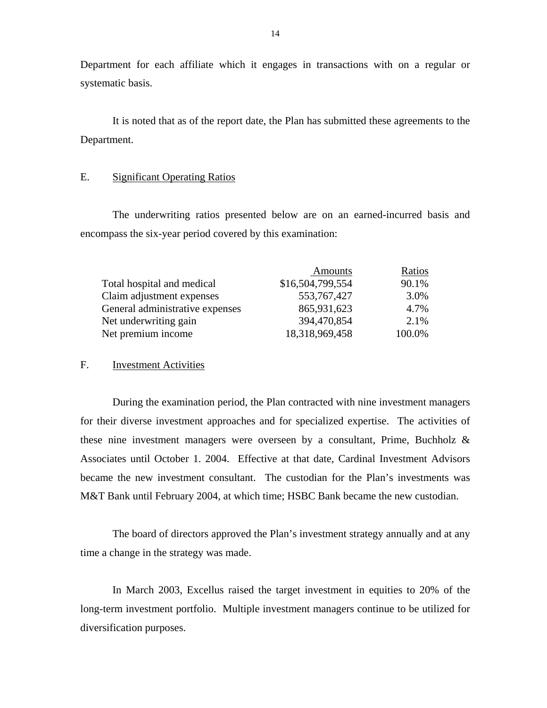Department for each affiliate which it engages in transactions with on a regular or systematic basis.

It is noted that as of the report date, the Plan has submitted these agreements to the Department.

#### E. Significant Operating Ratios

The underwriting ratios presented below are on an earned-incurred basis and encompass the six-year period covered by this examination:

|                                 | Amounts          | Ratios |
|---------------------------------|------------------|--------|
| Total hospital and medical      | \$16,504,799,554 | 90.1%  |
| Claim adjustment expenses       | 553, 767, 427    | 3.0%   |
| General administrative expenses | 865,931,623      | 4.7%   |
| Net underwriting gain           | 394,470,854      | 2.1%   |
| Net premium income              | 18,318,969,458   | 100.0% |

#### F. Investment Activities

During the examination period, the Plan contracted with nine investment managers for their diverse investment approaches and for specialized expertise. The activities of these nine investment managers were overseen by a consultant, Prime, Buchholz & Associates until October 1. 2004. Effective at that date, Cardinal Investment Advisors became the new investment consultant. The custodian for the Plan's investments was M&T Bank until February 2004, at which time; HSBC Bank became the new custodian.

The board of directors approved the Plan's investment strategy annually and at any time a change in the strategy was made.

In March 2003, Excellus raised the target investment in equities to 20% of the long-term investment portfolio. Multiple investment managers continue to be utilized for diversification purposes.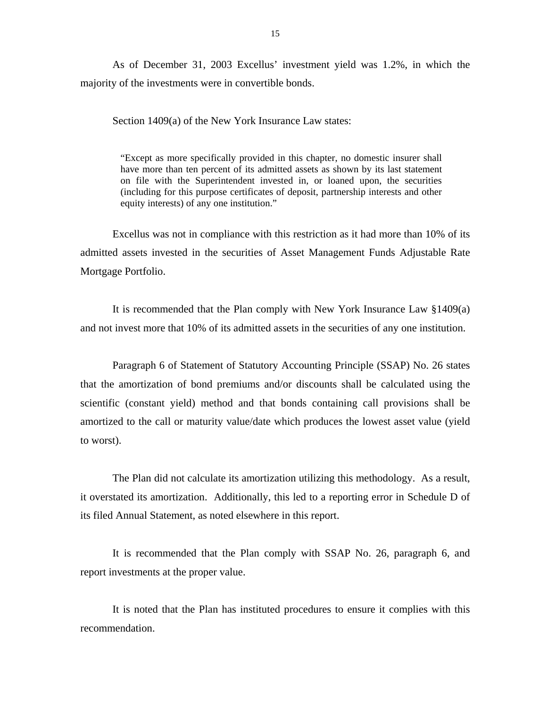As of December 31, 2003 Excellus' investment yield was 1.2%, in which the majority of the investments were in convertible bonds.

Section 1409(a) of the New York Insurance Law states:

"Except as more specifically provided in this chapter, no domestic insurer shall have more than ten percent of its admitted assets as shown by its last statement on file with the Superintendent invested in, or loaned upon, the securities (including for this purpose certificates of deposit, partnership interests and other equity interests) of any one institution."

Excellus was not in compliance with this restriction as it had more than 10% of its admitted assets invested in the securities of Asset Management Funds Adjustable Rate Mortgage Portfolio.

It is recommended that the Plan comply with New York Insurance Law §1409(a) and not invest more that 10% of its admitted assets in the securities of any one institution.

Paragraph 6 of Statement of Statutory Accounting Principle (SSAP) No. 26 states that the amortization of bond premiums and/or discounts shall be calculated using the scientific (constant yield) method and that bonds containing call provisions shall be amortized to the call or maturity value/date which produces the lowest asset value (yield to worst).

The Plan did not calculate its amortization utilizing this methodology. As a result, it overstated its amortization. Additionally, this led to a reporting error in Schedule D of its filed Annual Statement, as noted elsewhere in this report.

It is recommended that the Plan comply with SSAP No. 26, paragraph 6, and report investments at the proper value.

It is noted that the Plan has instituted procedures to ensure it complies with this recommendation.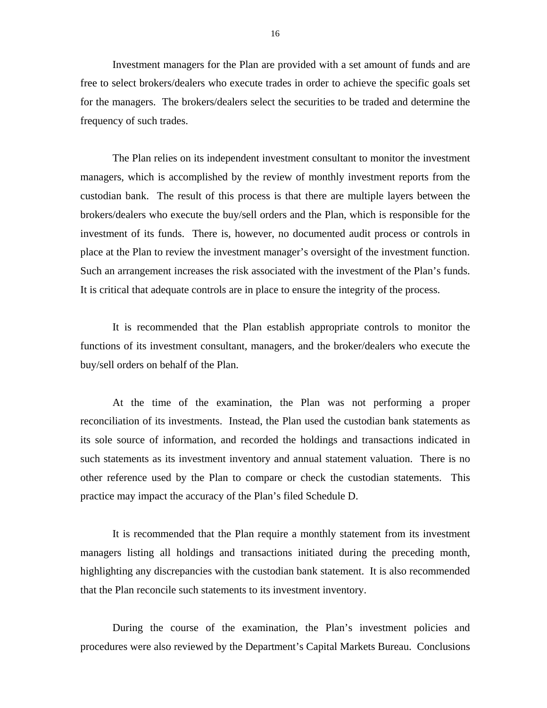Investment managers for the Plan are provided with a set amount of funds and are free to select brokers/dealers who execute trades in order to achieve the specific goals set for the managers. The brokers/dealers select the securities to be traded and determine the frequency of such trades.

The Plan relies on its independent investment consultant to monitor the investment managers, which is accomplished by the review of monthly investment reports from the custodian bank. The result of this process is that there are multiple layers between the brokers/dealers who execute the buy/sell orders and the Plan, which is responsible for the investment of its funds. There is, however, no documented audit process or controls in place at the Plan to review the investment manager's oversight of the investment function. Such an arrangement increases the risk associated with the investment of the Plan's funds. It is critical that adequate controls are in place to ensure the integrity of the process.

It is recommended that the Plan establish appropriate controls to monitor the functions of its investment consultant, managers, and the broker/dealers who execute the buy/sell orders on behalf of the Plan.

At the time of the examination, the Plan was not performing a proper reconciliation of its investments. Instead, the Plan used the custodian bank statements as its sole source of information, and recorded the holdings and transactions indicated in such statements as its investment inventory and annual statement valuation. There is no other reference used by the Plan to compare or check the custodian statements. This practice may impact the accuracy of the Plan's filed Schedule D.

It is recommended that the Plan require a monthly statement from its investment managers listing all holdings and transactions initiated during the preceding month, highlighting any discrepancies with the custodian bank statement. It is also recommended that the Plan reconcile such statements to its investment inventory.

During the course of the examination, the Plan's investment policies and procedures were also reviewed by the Department's Capital Markets Bureau. Conclusions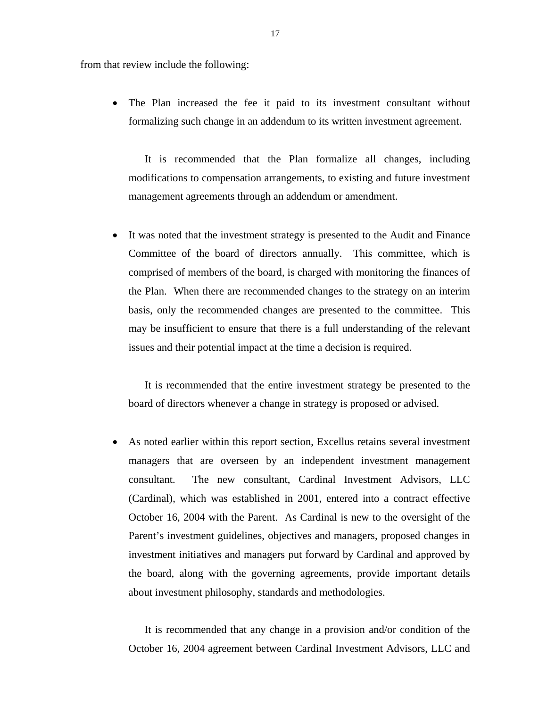from that review include the following:

• The Plan increased the fee it paid to its investment consultant without formalizing such change in an addendum to its written investment agreement.

It is recommended that the Plan formalize all changes, including modifications to compensation arrangements, to existing and future investment management agreements through an addendum or amendment.

• It was noted that the investment strategy is presented to the Audit and Finance Committee of the board of directors annually. This committee, which is comprised of members of the board, is charged with monitoring the finances of the Plan. When there are recommended changes to the strategy on an interim basis, only the recommended changes are presented to the committee. This may be insufficient to ensure that there is a full understanding of the relevant issues and their potential impact at the time a decision is required.

It is recommended that the entire investment strategy be presented to the board of directors whenever a change in strategy is proposed or advised.

• As noted earlier within this report section, Excellus retains several investment managers that are overseen by an independent investment management consultant. The new consultant, Cardinal Investment Advisors, LLC (Cardinal), which was established in 2001, entered into a contract effective October 16, 2004 with the Parent. As Cardinal is new to the oversight of the Parent's investment guidelines, objectives and managers, proposed changes in investment initiatives and managers put forward by Cardinal and approved by the board, along with the governing agreements, provide important details about investment philosophy, standards and methodologies.

It is recommended that any change in a provision and/or condition of the October 16, 2004 agreement between Cardinal Investment Advisors, LLC and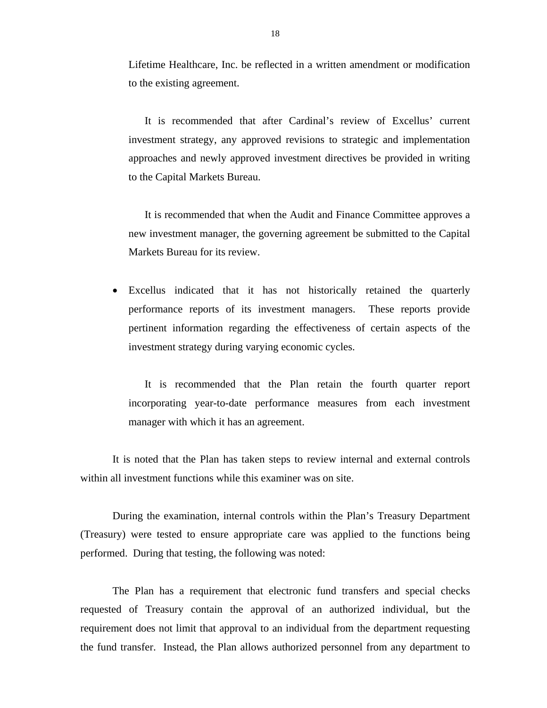Lifetime Healthcare, Inc. be reflected in a written amendment or modification to the existing agreement.

It is recommended that after Cardinal's review of Excellus' current investment strategy, any approved revisions to strategic and implementation approaches and newly approved investment directives be provided in writing to the Capital Markets Bureau.

It is recommended that when the Audit and Finance Committee approves a new investment manager, the governing agreement be submitted to the Capital Markets Bureau for its review.

• Excellus indicated that it has not historically retained the quarterly performance reports of its investment managers. These reports provide pertinent information regarding the effectiveness of certain aspects of the investment strategy during varying economic cycles.

It is recommended that the Plan retain the fourth quarter report incorporating year-to-date performance measures from each investment manager with which it has an agreement.

It is noted that the Plan has taken steps to review internal and external controls within all investment functions while this examiner was on site.

During the examination, internal controls within the Plan's Treasury Department (Treasury) were tested to ensure appropriate care was applied to the functions being performed. During that testing, the following was noted:

The Plan has a requirement that electronic fund transfers and special checks requested of Treasury contain the approval of an authorized individual, but the requirement does not limit that approval to an individual from the department requesting the fund transfer. Instead, the Plan allows authorized personnel from any department to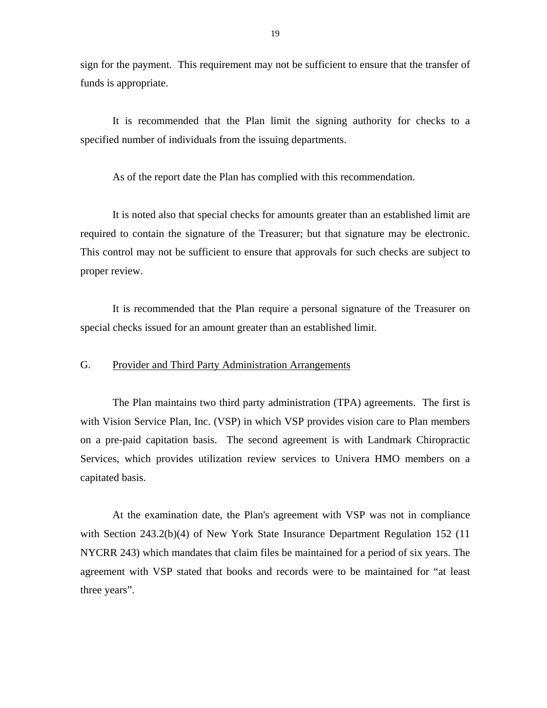<span id="page-20-0"></span>sign for the payment. This requirement may not be sufficient to ensure that the transfer of funds is appropriate.

It is recommended that the Plan limit the signing authority for checks to a specified number of individuals from the issuing departments.

As of the report date the Plan has complied with this recommendation.

It is noted also that special checks for amounts greater than an established limit are required to contain the signature of the Treasurer; but that signature may be electronic. This control may not be sufficient to ensure that approvals for such checks are subject to proper review.

It is recommended that the Plan require a personal signature of the Treasurer on special checks issued for an amount greater than an established limit.

#### G. Provider and Third Party Administration Arrangements

The Plan maintains two third party administration (TPA) agreements. The first is with Vision Service Plan, Inc. (VSP) in which VSP provides vision care to Plan members on a pre-paid capitation basis. The second agreement is with Landmark Chiropractic Services, which provides utilization review services to Univera HMO members on a capitated basis.

At the examination date, the Plan's agreement with VSP was not in compliance with Section 243.2(b)(4) of New York State Insurance Department Regulation 152 (11 NYCRR 243) which mandates that claim files be maintained for a period of six years. The agreement with VSP stated that books and records were to be maintained for "at least three years".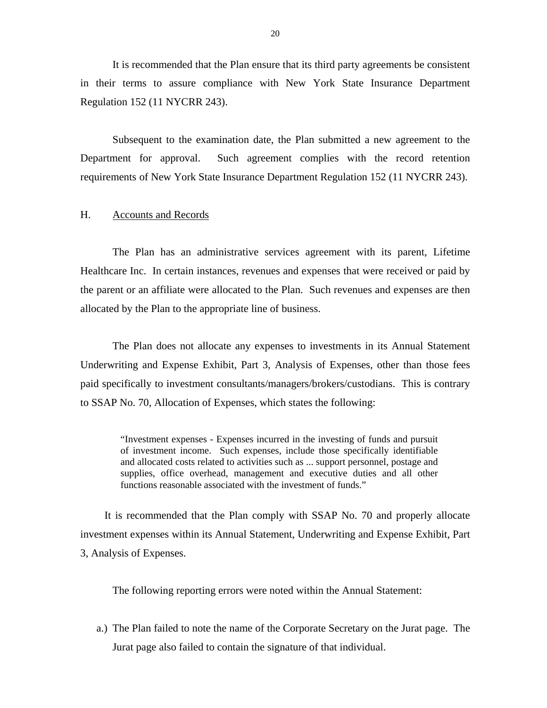<span id="page-21-0"></span>It is recommended that the Plan ensure that its third party agreements be consistent in their terms to assure compliance with New York State Insurance Department Regulation 152 (11 NYCRR 243).

Subsequent to the examination date, the Plan submitted a new agreement to the Department for approval. Such agreement complies with the record retention requirements of New York State Insurance Department Regulation 152 (11 NYCRR 243).

#### H. Accounts and Records

The Plan has an administrative services agreement with its parent, Lifetime Healthcare Inc. In certain instances, revenues and expenses that were received or paid by the parent or an affiliate were allocated to the Plan. Such revenues and expenses are then allocated by the Plan to the appropriate line of business.

The Plan does not allocate any expenses to investments in its Annual Statement Underwriting and Expense Exhibit, Part 3, Analysis of Expenses, other than those fees paid specifically to investment consultants/managers/brokers/custodians. This is contrary to SSAP No. 70, Allocation of Expenses, which states the following:

> "Investment expenses - Expenses incurred in the investing of funds and pursuit of investment income. Such expenses, include those specifically identifiable and allocated costs related to activities such as ... support personnel, postage and supplies, office overhead, management and executive duties and all other functions reasonable associated with the investment of funds."

It is recommended that the Plan comply with SSAP No. 70 and properly allocate investment expenses within its Annual Statement, Underwriting and Expense Exhibit, Part 3, Analysis of Expenses.

The following reporting errors were noted within the Annual Statement:

a.) The Plan failed to note the name of the Corporate Secretary on the Jurat page. The Jurat page also failed to contain the signature of that individual.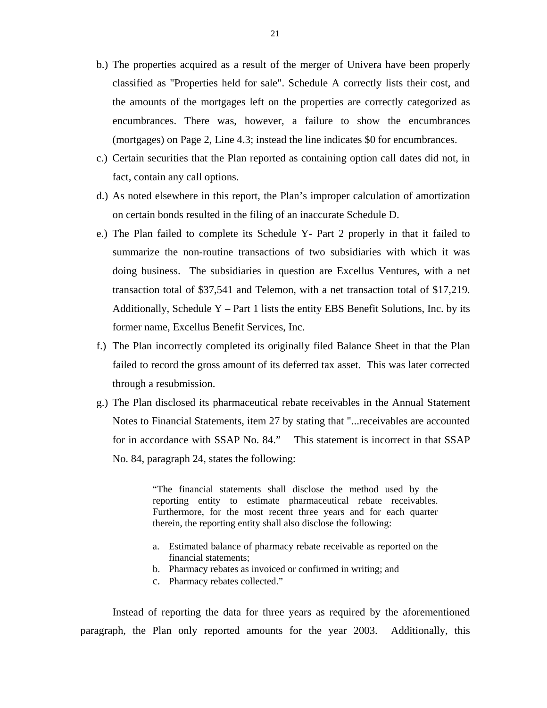- b.) The properties acquired as a result of the merger of Univera have been properly classified as "Properties held for sale". Schedule A correctly lists their cost, and the amounts of the mortgages left on the properties are correctly categorized as encumbrances. There was, however, a failure to show the encumbrances (mortgages) on Page 2, Line 4.3; instead the line indicates \$0 for encumbrances.
- c.) Certain securities that the Plan reported as containing option call dates did not, in fact, contain any call options.
- d.) As noted elsewhere in this report, the Plan's improper calculation of amortization on certain bonds resulted in the filing of an inaccurate Schedule D.
- e.) The Plan failed to complete its Schedule Y- Part 2 properly in that it failed to summarize the non-routine transactions of two subsidiaries with which it was doing business. The subsidiaries in question are Excellus Ventures, with a net transaction total of \$37,541 and Telemon, with a net transaction total of \$17,219. Additionally, Schedule  $Y - Part 1$  lists the entity EBS Benefit Solutions, Inc. by its former name, Excellus Benefit Services, Inc.
- f.) The Plan incorrectly completed its originally filed Balance Sheet in that the Plan failed to record the gross amount of its deferred tax asset. This was later corrected through a resubmission.
- g.) The Plan disclosed its pharmaceutical rebate receivables in the Annual Statement Notes to Financial Statements, item 27 by stating that "...receivables are accounted for in accordance with SSAP No. 84." This statement is incorrect in that SSAP No. 84, paragraph 24, states the following:

"The financial statements shall disclose the method used by the reporting entity to estimate pharmaceutical rebate receivables. Furthermore, for the most recent three years and for each quarter therein, the reporting entity shall also disclose the following:

- a. Estimated balance of pharmacy rebate receivable as reported on the financial statements;
- b. Pharmacy rebates as invoiced or confirmed in writing; and
- c. Pharmacy rebates collected."

Instead of reporting the data for three years as required by the aforementioned paragraph, the Plan only reported amounts for the year 2003. Additionally, this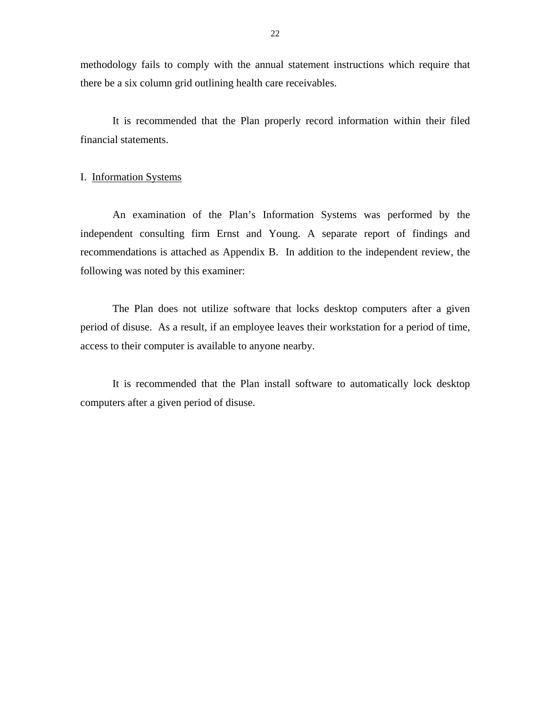<span id="page-23-0"></span>methodology fails to comply with the annual statement instructions which require that there be a six column grid outlining health care receivables.

It is recommended that the Plan properly record information within their filed financial statements.

#### I. Information Systems

An examination of the Plan's Information Systems was performed by the independent consulting firm Ernst and Young. A separate report of findings and recommendations is attached as Appendix B. In addition to the independent review, the following was noted by this examiner:

The Plan does not utilize software that locks desktop computers after a given period of disuse. As a result, if an employee leaves their workstation for a period of time, access to their computer is available to anyone nearby.

It is recommended that the Plan install software to automatically lock desktop computers after a given period of disuse.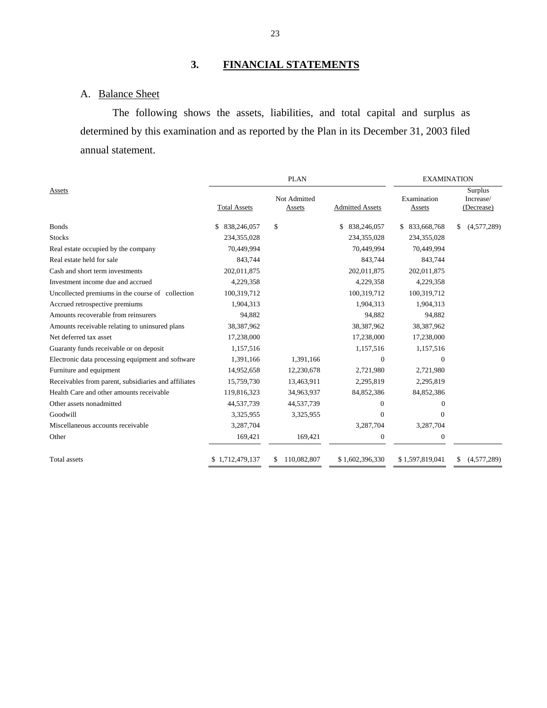# **3. FINANCIAL STATEMENTS**

### A. Balance Sheet

The following shows the assets, liabilities, and total capital and surplus as determined by this examination and as reported by the Plan in its December 31, 2003 filed annual statement.

|                                                      |                     | <b>PLAN</b>            |                        | <b>EXAMINATION</b>    |                                    |  |  |
|------------------------------------------------------|---------------------|------------------------|------------------------|-----------------------|------------------------------------|--|--|
| Assets                                               | <b>Total Assets</b> | Not Admitted<br>Assets | <b>Admitted Assets</b> | Examination<br>Assets | Surplus<br>Increase/<br>(Decrease) |  |  |
|                                                      |                     |                        |                        |                       |                                    |  |  |
| <b>Bonds</b>                                         | \$<br>838,246,057   | \$                     | \$<br>838,246,057      | \$833,668,768         | \$<br>(4,577,289)                  |  |  |
| <b>Stocks</b>                                        | 234,355,028         |                        | 234, 355, 028          | 234,355,028           |                                    |  |  |
| Real estate occupied by the company                  | 70,449,994          |                        | 70,449,994             | 70,449,994            |                                    |  |  |
| Real estate held for sale                            | 843,744             |                        | 843,744                | 843,744               |                                    |  |  |
| Cash and short term investments                      | 202,011,875         |                        | 202,011,875            | 202,011,875           |                                    |  |  |
| Investment income due and accrued                    | 4,229,358           |                        | 4,229,358              | 4,229,358             |                                    |  |  |
| Uncollected premiums in the course of collection     | 100,319,712         |                        | 100,319,712            | 100,319,712           |                                    |  |  |
| Accrued retrospective premiums                       | 1,904,313           |                        | 1,904,313              | 1,904,313             |                                    |  |  |
| Amounts recoverable from reinsurers                  | 94,882              |                        | 94,882                 | 94,882                |                                    |  |  |
| Amounts receivable relating to uninsured plans       | 38,387,962          |                        | 38,387,962             | 38,387,962            |                                    |  |  |
| Net deferred tax asset                               | 17,238,000          |                        | 17,238,000             | 17,238,000            |                                    |  |  |
| Guaranty funds receivable or on deposit              | 1,157,516           |                        | 1,157,516              | 1,157,516             |                                    |  |  |
| Electronic data processing equipment and software    | 1,391,166           | 1,391,166              | $\Omega$               | $\Omega$              |                                    |  |  |
| Furniture and equipment                              | 14,952,658          | 12,230,678             | 2,721,980              | 2,721,980             |                                    |  |  |
| Receivables from parent, subsidiaries and affiliates | 15,759,730          | 13,463,911             | 2,295,819              | 2,295,819             |                                    |  |  |
| Health Care and other amounts receivable             | 119,816,323         | 34,963,937             | 84,852,386             | 84,852,386            |                                    |  |  |
| Other assets nonadmitted                             | 44,537,739          | 44,537,739             | $\theta$               | $\mathbf{0}$          |                                    |  |  |
| Goodwill                                             | 3,325,955           | 3,325,955              | $\Omega$               | $\Omega$              |                                    |  |  |
| Miscellaneous accounts receivable                    | 3,287,704           |                        | 3,287,704              | 3,287,704             |                                    |  |  |
| Other                                                | 169,421             | 169,421                | 0                      | $\boldsymbol{0}$      |                                    |  |  |
| <b>Total</b> assets                                  | \$1,712,479,137     | 110,082,807<br>\$.     | \$1,602,396,330        | \$1,597,819,041       | (4,577,289)<br>S                   |  |  |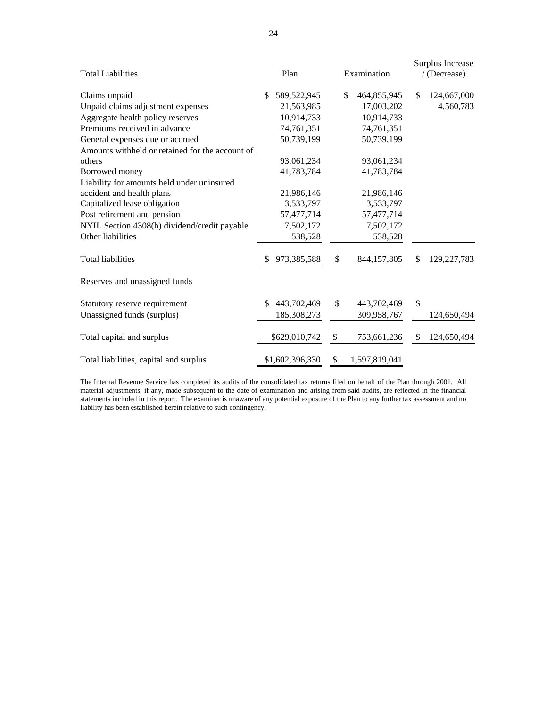|                                                 |     |                 |             |               |            | Surplus Increase |  |
|-------------------------------------------------|-----|-----------------|-------------|---------------|------------|------------------|--|
| <b>Total Liabilities</b>                        |     | Plan            | Examination |               | (Decrease) |                  |  |
| Claims unpaid                                   | \$  | 589,522,945     | \$          | 464,855,945   | \$.        | 124,667,000      |  |
| Unpaid claims adjustment expenses               |     | 21,563,985      |             | 17,003,202    |            | 4,560,783        |  |
| Aggregate health policy reserves                |     | 10,914,733      |             | 10,914,733    |            |                  |  |
| Premiums received in advance                    |     | 74,761,351      |             | 74,761,351    |            |                  |  |
| General expenses due or accrued                 |     | 50,739,199      |             | 50,739,199    |            |                  |  |
| Amounts withheld or retained for the account of |     |                 |             |               |            |                  |  |
| others                                          |     | 93,061,234      |             | 93,061,234    |            |                  |  |
| Borrowed money                                  |     | 41,783,784      |             | 41,783,784    |            |                  |  |
| Liability for amounts held under uninsured      |     |                 |             |               |            |                  |  |
| accident and health plans                       |     | 21,986,146      |             | 21,986,146    |            |                  |  |
| Capitalized lease obligation                    |     | 3,533,797       |             | 3,533,797     |            |                  |  |
| Post retirement and pension                     |     | 57,477,714      |             | 57,477,714    |            |                  |  |
| NYIL Section 4308(h) dividend/credit payable    |     | 7,502,172       |             | 7,502,172     |            |                  |  |
| Other liabilities                               |     | 538,528         |             | 538,528       |            |                  |  |
| <b>Total liabilities</b>                        | \$. | 973,385,588     | \$          | 844,157,805   | \$.        | 129, 227, 783    |  |
| Reserves and unassigned funds                   |     |                 |             |               |            |                  |  |
| Statutory reserve requirement                   | \$  | 443,702,469     | \$          | 443,702,469   | \$         |                  |  |
| Unassigned funds (surplus)                      |     | 185,308,273     |             | 309,958,767   |            | 124,650,494      |  |
| Total capital and surplus                       |     | \$629,010,742   | \$          | 753,661,236   | \$         | 124,650,494      |  |
| Total liabilities, capital and surplus          |     | \$1,602,396,330 | \$          | 1,597,819,041 |            |                  |  |

 statements included in this report. The examiner is unaware of any potential exposure of the Plan to any further tax assessment and no The Internal Revenue Service has completed its audits of the consolidated tax returns filed on behalf of the Plan through 2001. All material adjustments, if any, made subsequent to the date of examination and arising from said audits, are reflected in the financial liability has been established herein relative to such contingency.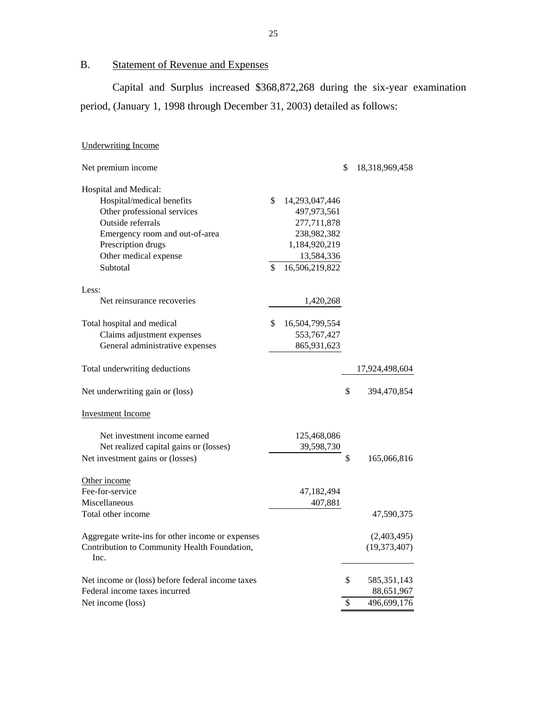B. Statement of Revenue and Expenses

Capital and Surplus increased \$368,872,268 during the six-year examination period, (January 1, 1998 through December 31, 2003) detailed as follows:

### **Underwriting Income**

| <b>Underwriting Income</b>                           |                      |                      |
|------------------------------------------------------|----------------------|----------------------|
| Net premium income                                   |                      | \$<br>18,318,969,458 |
| Hospital and Medical:                                |                      |                      |
| Hospital/medical benefits                            | \$<br>14,293,047,446 |                      |
| Other professional services                          | 497,973,561          |                      |
| Outside referrals                                    | 277,711,878          |                      |
| Emergency room and out-of-area                       | 238,982,382          |                      |
| Prescription drugs                                   | 1,184,920,219        |                      |
| Other medical expense                                | 13,584,336           |                      |
| Subtotal                                             | \$<br>16,506,219,822 |                      |
| Less:                                                |                      |                      |
| Net reinsurance recoveries                           | 1,420,268            |                      |
| Total hospital and medical                           | \$<br>16,504,799,554 |                      |
| Claims adjustment expenses                           | 553, 767, 427        |                      |
| General administrative expenses                      | 865,931,623          |                      |
| Total underwriting deductions                        |                      | 17,924,498,604       |
| Net underwriting gain or (loss)                      |                      | \$<br>394,470,854    |
| <b>Investment Income</b>                             |                      |                      |
| Net investment income earned                         | 125,468,086          |                      |
| Net realized capital gains or (losses)               | 39,598,730           |                      |
| Net investment gains or (losses)                     |                      | \$<br>165,066,816    |
| Other income                                         |                      |                      |
| Fee-for-service                                      | 47,182,494           |                      |
| Miscellaneous                                        | 407,881              |                      |
| Total other income                                   |                      | 47,590,375           |
| Aggregate write-ins for other income or expenses     |                      | (2,403,495)          |
| Contribution to Community Health Foundation,<br>Inc. |                      | (19, 373, 407)       |
| Net income or (loss) before federal income taxes     |                      | \$<br>585, 351, 143  |
| Federal income taxes incurred                        |                      | 88,651,967           |
| Net income (loss)                                    |                      | \$<br>496,699,176    |
|                                                      |                      |                      |

25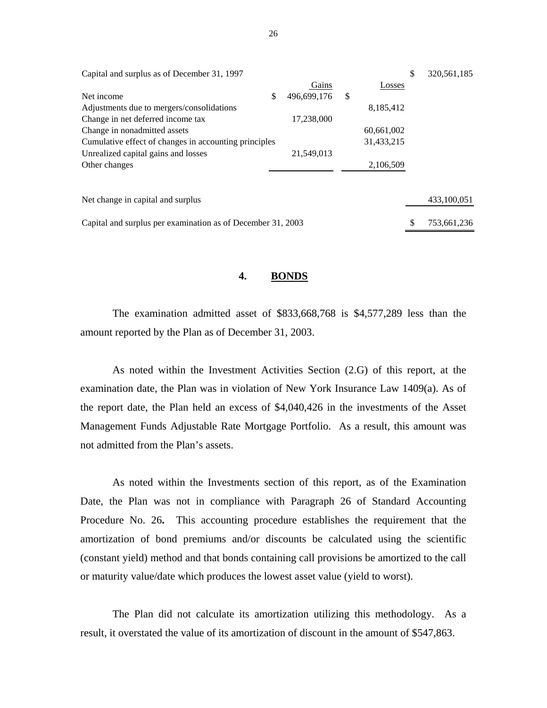| Capital and surplus as of December 31, 1997                 |                   |            | \$ | 320, 561, 185 |
|-------------------------------------------------------------|-------------------|------------|----|---------------|
|                                                             | Gains             | Losses     |    |               |
| Net income                                                  | \$<br>496,699,176 | \$         |    |               |
| Adjustments due to mergers/consolidations                   |                   | 8,185,412  |    |               |
| Change in net deferred income tax                           | 17,238,000        |            |    |               |
| Change in nonadmitted assets                                |                   | 60,661,002 |    |               |
| Cumulative effect of changes in accounting principles       |                   | 31,433,215 |    |               |
| Unrealized capital gains and losses                         | 21,549,013        |            |    |               |
| Other changes                                               |                   | 2,106,509  |    |               |
|                                                             |                   |            |    |               |
| Net change in capital and surplus                           |                   |            |    | 433,100,051   |
| Capital and surplus per examination as of December 31, 2003 |                   |            | S  | 753,661,236   |

#### **4. BONDS**

The examination admitted asset of \$833,668,768 is \$4,577,289 less than the amount reported by the Plan as of December 31, 2003.

As noted within the Investment Activities Section (2.G) of this report, at the examination date, the Plan was in violation of New York Insurance Law 1409(a). As of the report date, the Plan held an excess of \$4,040,426 in the investments of the Asset Management Funds Adjustable Rate Mortgage Portfolio. As a result, this amount was not admitted from the Plan's assets.

As noted within the Investments section of this report, as of the Examination Date, the Plan was not in compliance with Paragraph 26 of Standard Accounting Procedure No. 26**.** This accounting procedure establishes the requirement that the amortization of bond premiums and/or discounts be calculated using the scientific (constant yield) method and that bonds containing call provisions be amortized to the call or maturity value/date which produces the lowest asset value (yield to worst).

The Plan did not calculate its amortization utilizing this methodology. As a result, it overstated the value of its amortization of discount in the amount of \$547,863.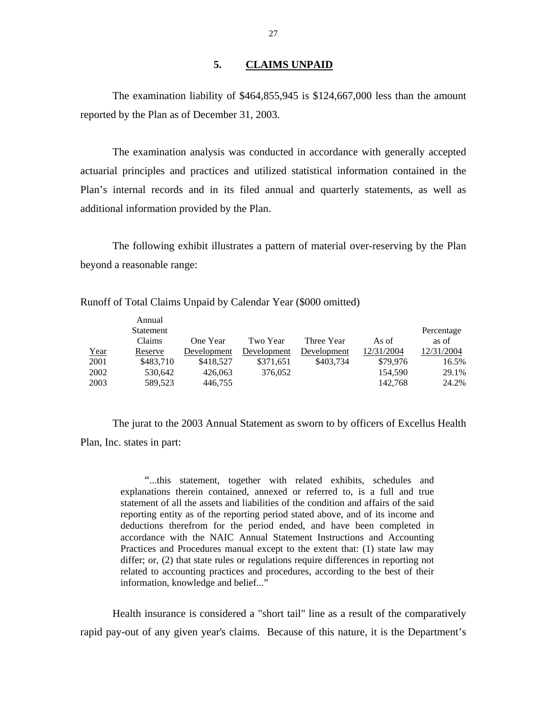#### **5. CLAIMS UNPAID**

The examination liability of \$464,855,945 is \$124,667,000 less than the amount reported by the Plan as of December 31, 2003.

The examination analysis was conducted in accordance with generally accepted actuarial principles and practices and utilized statistical information contained in the Plan's internal records and in its filed annual and quarterly statements, as well as additional information provided by the Plan.

The following exhibit illustrates a pattern of material over-reserving by the Plan beyond a reasonable range:

|      | Annual    |             |             |             |            |            |
|------|-----------|-------------|-------------|-------------|------------|------------|
|      | Statement |             |             |             |            | Percentage |
|      | Claims    | One Year    | Two Year    | Three Year  | As of      | as of      |
| Year | Reserve   | Development | Development | Development | 12/31/2004 | 12/31/2004 |
| 2001 | \$483.710 | \$418,527   | \$371,651   | \$403.734   | \$79,976   | 16.5%      |
| 2002 | 530.642   | 426,063     | 376,052     |             | 154,590    | 29.1%      |
| 2003 | 589,523   | 446,755     |             |             | 142,768    | 24.2%      |

Runoff of Total Claims Unpaid by Calendar Year (\$000 omitted)

The jurat to the 2003 Annual Statement as sworn to by officers of Excellus Health Plan, Inc. states in part:

> "...this statement, together with related exhibits, schedules and explanations therein contained, annexed or referred to, is a full and true statement of all the assets and liabilities of the condition and affairs of the said reporting entity as of the reporting period stated above, and of its income and deductions therefrom for the period ended, and have been completed in accordance with the NAIC Annual Statement Instructions and Accounting Practices and Procedures manual except to the extent that: (1) state law may differ; or, (2) that state rules or regulations require differences in reporting not related to accounting practices and procedures, according to the best of their information, knowledge and belief..."

Health insurance is considered a "short tail" line as a result of the comparatively rapid pay-out of any given year's claims. Because of this nature, it is the Department's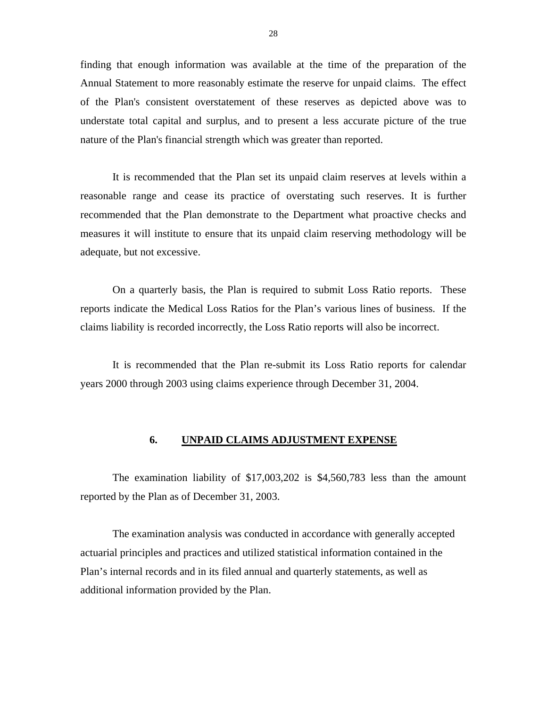<span id="page-29-0"></span>finding that enough information was available at the time of the preparation of the Annual Statement to more reasonably estimate the reserve for unpaid claims. The effect of the Plan's consistent overstatement of these reserves as depicted above was to understate total capital and surplus, and to present a less accurate picture of the true nature of the Plan's financial strength which was greater than reported.

It is recommended that the Plan set its unpaid claim reserves at levels within a reasonable range and cease its practice of overstating such reserves. It is further recommended that the Plan demonstrate to the Department what proactive checks and measures it will institute to ensure that its unpaid claim reserving methodology will be adequate, but not excessive.

On a quarterly basis, the Plan is required to submit Loss Ratio reports. These reports indicate the Medical Loss Ratios for the Plan's various lines of business. If the claims liability is recorded incorrectly, the Loss Ratio reports will also be incorrect.

It is recommended that the Plan re-submit its Loss Ratio reports for calendar years 2000 through 2003 using claims experience through December 31, 2004.

#### **6. UNPAID CLAIMS ADJUSTMENT EXPENSE**

The examination liability of \$17,003,202 is \$4,560,783 less than the amount reported by the Plan as of December 31, 2003.

The examination analysis was conducted in accordance with generally accepted actuarial principles and practices and utilized statistical information contained in the Plan's internal records and in its filed annual and quarterly statements, as well as additional information provided by the Plan.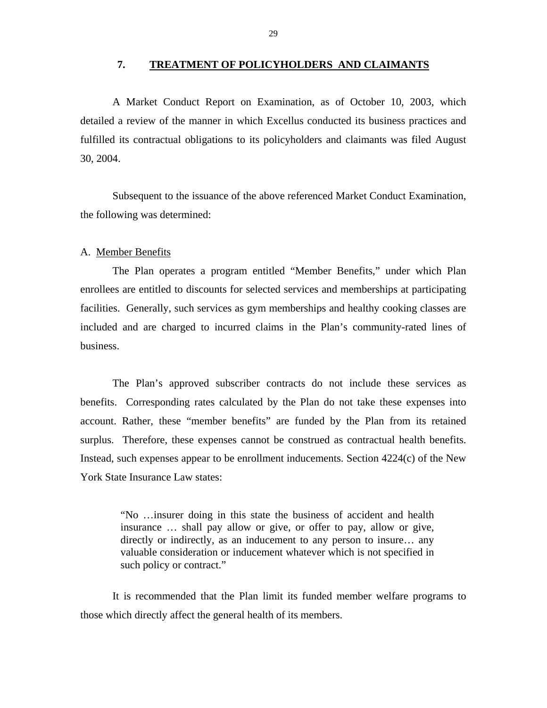#### **7. TREATMENT OF POLICYHOLDERS AND CLAIMANTS**

<span id="page-30-0"></span>A Market Conduct Report on Examination, as of October 10, 2003, which detailed a review of the manner in which Excellus conducted its business practices and fulfilled its contractual obligations to its policyholders and claimants was filed August 30, 2004.

Subsequent to the issuance of the above referenced Market Conduct Examination, the following was determined:

#### A. Member Benefits

The Plan operates a program entitled "Member Benefits," under which Plan enrollees are entitled to discounts for selected services and memberships at participating facilities. Generally, such services as gym memberships and healthy cooking classes are included and are charged to incurred claims in the Plan's community-rated lines of business.

The Plan's approved subscriber contracts do not include these services as benefits. Corresponding rates calculated by the Plan do not take these expenses into account. Rather, these "member benefits" are funded by the Plan from its retained surplus. Therefore, these expenses cannot be construed as contractual health benefits. Instead, such expenses appear to be enrollment inducements. Section 4224(c) of the New York State Insurance Law states:

> "No …insurer doing in this state the business of accident and health insurance … shall pay allow or give, or offer to pay, allow or give, directly or indirectly, as an inducement to any person to insure… any valuable consideration or inducement whatever which is not specified in such policy or contract."

It is recommended that the Plan limit its funded member welfare programs to those which directly affect the general health of its members.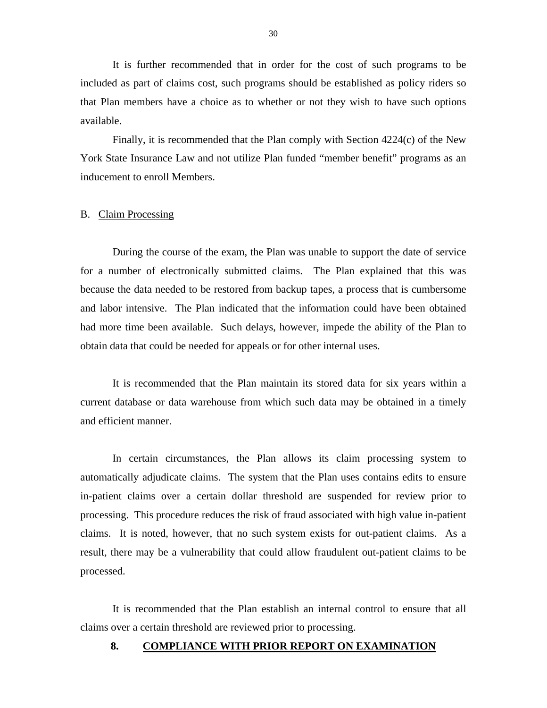<span id="page-31-0"></span>It is further recommended that in order for the cost of such programs to be included as part of claims cost, such programs should be established as policy riders so that Plan members have a choice as to whether or not they wish to have such options available.

Finally, it is recommended that the Plan comply with Section 4224(c) of the New York State Insurance Law and not utilize Plan funded "member benefit" programs as an inducement to enroll Members.

#### B. Claim Processing

During the course of the exam, the Plan was unable to support the date of service for a number of electronically submitted claims. The Plan explained that this was because the data needed to be restored from backup tapes, a process that is cumbersome and labor intensive. The Plan indicated that the information could have been obtained had more time been available. Such delays, however, impede the ability of the Plan to obtain data that could be needed for appeals or for other internal uses.

It is recommended that the Plan maintain its stored data for six years within a current database or data warehouse from which such data may be obtained in a timely and efficient manner.

In certain circumstances, the Plan allows its claim processing system to automatically adjudicate claims. The system that the Plan uses contains edits to ensure in-patient claims over a certain dollar threshold are suspended for review prior to processing. This procedure reduces the risk of fraud associated with high value in-patient claims. It is noted, however, that no such system exists for out-patient claims. As a result, there may be a vulnerability that could allow fraudulent out-patient claims to be processed.

It is recommended that the Plan establish an internal control to ensure that all claims over a certain threshold are reviewed prior to processing.

#### **8. COMPLIANCE WITH PRIOR REPORT ON EXAMINATION**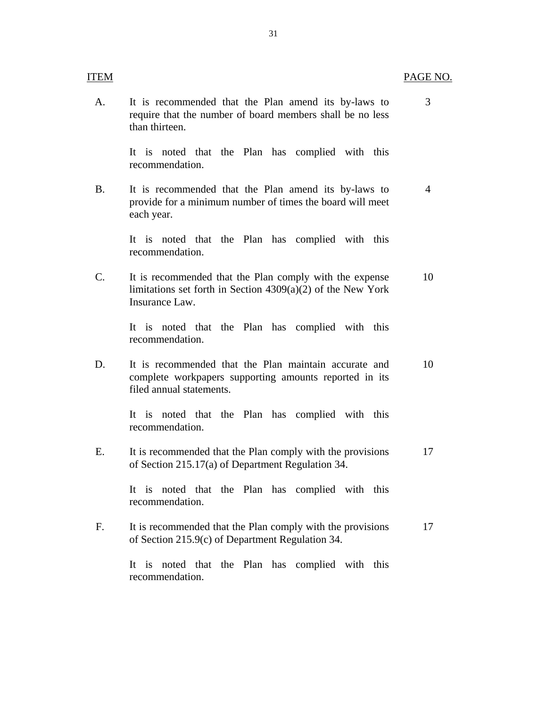<span id="page-32-0"></span>

| ITEM |                                                                                                                                             | PAGE NO. |
|------|---------------------------------------------------------------------------------------------------------------------------------------------|----------|
| A.   | It is recommended that the Plan amend its by-laws to<br>require that the number of board members shall be no less<br>than thirteen.         | 3        |
|      | It is noted that the Plan has complied with this<br>recommendation.                                                                         |          |
| B.   | It is recommended that the Plan amend its by-laws to<br>provide for a minimum number of times the board will meet<br>each year.             | 4        |
|      | It is noted that the Plan has complied with this<br>recommendation.                                                                         |          |
| C.   | It is recommended that the Plan comply with the expense<br>limitations set forth in Section $4309(a)(2)$ of the New York<br>Insurance Law.  | 10       |
|      | It is noted that the Plan has complied with this<br>recommendation.                                                                         |          |
| D.   | It is recommended that the Plan maintain accurate and<br>complete workpapers supporting amounts reported in its<br>filed annual statements. | 10       |
|      | It is noted that the Plan has complied with this<br>recommendation.                                                                         |          |
| Ε.   | It is recommended that the Plan comply with the provisions<br>of Section 215.17(a) of Department Regulation 34.                             | 17       |
|      | It is noted that the Plan has complied with this<br>recommendation.                                                                         |          |
| F.   | It is recommended that the Plan comply with the provisions<br>of Section 215.9(c) of Department Regulation 34.                              | 17       |
|      | It is noted that the Plan has complied with this<br>recommendation.                                                                         |          |

31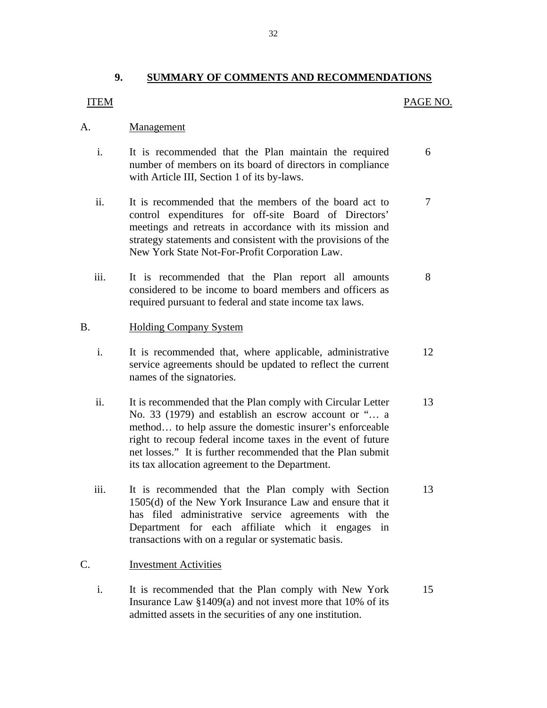#### **9. SUMMARY OF COMMENTS AND RECOMMENDATIONS**

#### **ITEM**

#### PAGE NO.

#### Management

- A. <u>Management</u><br>i. It is recommended that the Plan maintain the required number of members on its board of directors in compliance with Article III, Section 1 of its by-laws. 6
	- ii. It is recommended that the members of the board act to control expenditures for off-site Board of Directors' meetings and retreats in accordance with its mission and strategy statements and consistent with the provisions of the New York State Not-For-Profit Corporation Law. 7
	- iii. It is recommended that the Plan report all amounts considered to be income to board members and officers as required pursuant to federal and state income tax laws. 8

#### B. Holding Company System

- i. It is recommended that, where applicable, administrative service agreements should be updated to reflect the current names of the signatories. 12
- ii. It is recommended that the Plan comply with Circular Letter No. 33 (1979) and establish an escrow account or "… a method… to help assure the domestic insurer's enforceable right to recoup federal income taxes in the event of future net losses." It is further recommended that the Plan submit its tax allocation agreement to the Department. 13
- iii. It is recommended that the Plan comply with Section 1505(d) of the New York Insurance Law and ensure that it has filed administrative service agreements with the Department for each affiliate which it engages in transactions with on a regular or systematic basis. 13

#### **Investment Activities**

C. Investment Activities<br>i. It is recommended that the Plan comply with New York Insurance Law §1409(a) and not invest more that 10% of its admitted assets in the securities of any one institution. 15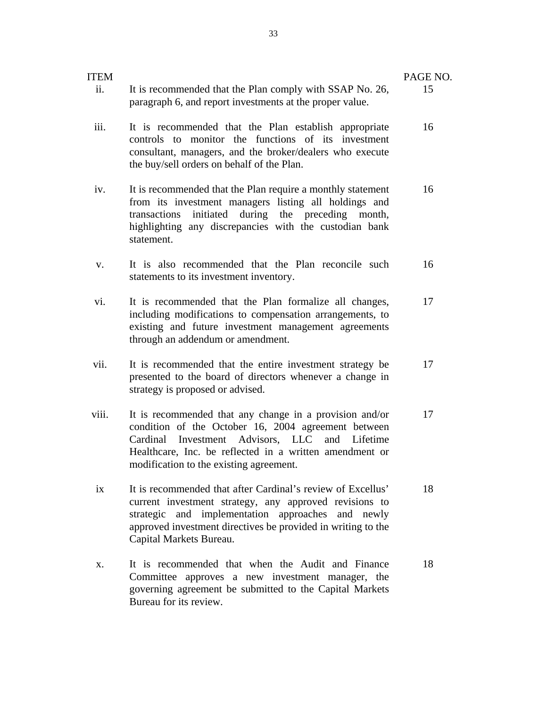| <b>ITEM</b> |                                                                                                                                                                                                                                                                                 | PAGE NO. |
|-------------|---------------------------------------------------------------------------------------------------------------------------------------------------------------------------------------------------------------------------------------------------------------------------------|----------|
| ii.         | It is recommended that the Plan comply with SSAP No. 26,<br>paragraph 6, and report investments at the proper value.                                                                                                                                                            | 15       |
| iii.        | It is recommended that the Plan establish appropriate<br>controls to monitor the functions of its investment<br>consultant, managers, and the broker/dealers who execute<br>the buy/sell orders on behalf of the Plan.                                                          | 16       |
| iv.         | It is recommended that the Plan require a monthly statement<br>from its investment managers listing all holdings and<br>during the preceding month,<br>initiated<br>transactions<br>highlighting any discrepancies with the custodian bank<br>statement.                        | 16       |
| V.          | It is also recommended that the Plan reconcile such<br>statements to its investment inventory.                                                                                                                                                                                  | 16       |
| vi.         | It is recommended that the Plan formalize all changes,<br>including modifications to compensation arrangements, to<br>existing and future investment management agreements<br>through an addendum or amendment.                                                                 | 17       |
| vii.        | It is recommended that the entire investment strategy be<br>presented to the board of directors whenever a change in<br>strategy is proposed or advised.                                                                                                                        | 17       |
| viii.       | It is recommended that any change in a provision and/or<br>condition of the October 16, 2004 agreement between<br>Investment Advisors, LLC<br>and<br>Cardinal<br>Lifetime<br>Healthcare, Inc. be reflected in a written amendment or<br>modification to the existing agreement. | 17       |
| ix          | It is recommended that after Cardinal's review of Excellus'<br>current investment strategy, any approved revisions to<br>strategic and implementation approaches and newly<br>approved investment directives be provided in writing to the<br>Capital Markets Bureau.           | 18       |
| X.          | It is recommended that when the Audit and Finance<br>Committee approves a new investment manager, the<br>governing agreement be submitted to the Capital Markets<br>Bureau for its review.                                                                                      | 18       |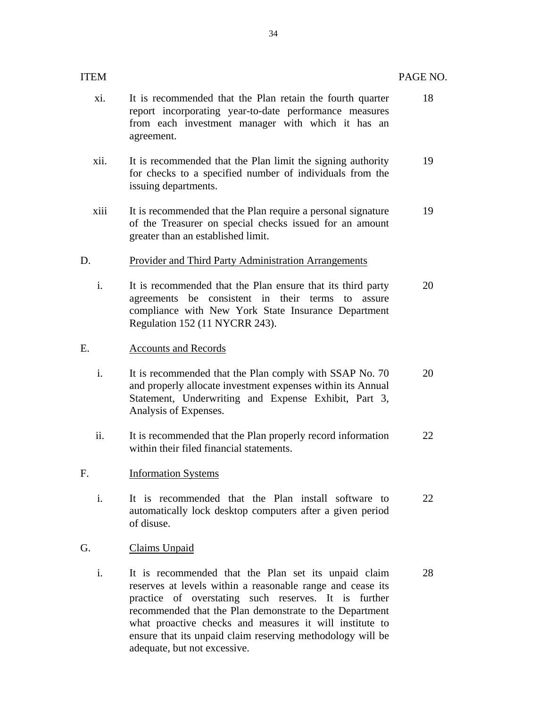| ITEM |                                                                                                                                                                                                                                                                                                                                                                                                | PAGE NO. |
|------|------------------------------------------------------------------------------------------------------------------------------------------------------------------------------------------------------------------------------------------------------------------------------------------------------------------------------------------------------------------------------------------------|----------|
| xi.  | It is recommended that the Plan retain the fourth quarter<br>report incorporating year-to-date performance measures<br>from each investment manager with which it has an<br>agreement.                                                                                                                                                                                                         | 18       |
| xii. | It is recommended that the Plan limit the signing authority<br>for checks to a specified number of individuals from the<br>issuing departments.                                                                                                                                                                                                                                                | 19       |
| xiii | It is recommended that the Plan require a personal signature<br>of the Treasurer on special checks issued for an amount<br>greater than an established limit.                                                                                                                                                                                                                                  | 19       |
| D.   | <b>Provider and Third Party Administration Arrangements</b>                                                                                                                                                                                                                                                                                                                                    |          |
| i.   | It is recommended that the Plan ensure that its third party<br>agreements be consistent in their terms to<br>assure<br>compliance with New York State Insurance Department<br>Regulation 152 (11 NYCRR 243).                                                                                                                                                                                   | 20       |
| E.   | <b>Accounts and Records</b>                                                                                                                                                                                                                                                                                                                                                                    |          |
| i.   | It is recommended that the Plan comply with SSAP No. 70<br>and properly allocate investment expenses within its Annual<br>Statement, Underwriting and Expense Exhibit, Part 3,<br>Analysis of Expenses.                                                                                                                                                                                        | 20       |
| ii.  | It is recommended that the Plan properly record information<br>within their filed financial statements.                                                                                                                                                                                                                                                                                        | 22       |
| F.   | <b>Information Systems</b>                                                                                                                                                                                                                                                                                                                                                                     |          |
| i.   | It is recommended that the Plan install software to<br>automatically lock desktop computers after a given period<br>of disuse.                                                                                                                                                                                                                                                                 | 22       |
| G.   | <b>Claims Unpaid</b>                                                                                                                                                                                                                                                                                                                                                                           |          |
| i.   | It is recommended that the Plan set its unpaid claim<br>reserves at levels within a reasonable range and cease its<br>practice of overstating such reserves. It is further<br>recommended that the Plan demonstrate to the Department<br>what proactive checks and measures it will institute to<br>ensure that its unpaid claim reserving methodology will be<br>adequate, but not excessive. | 28       |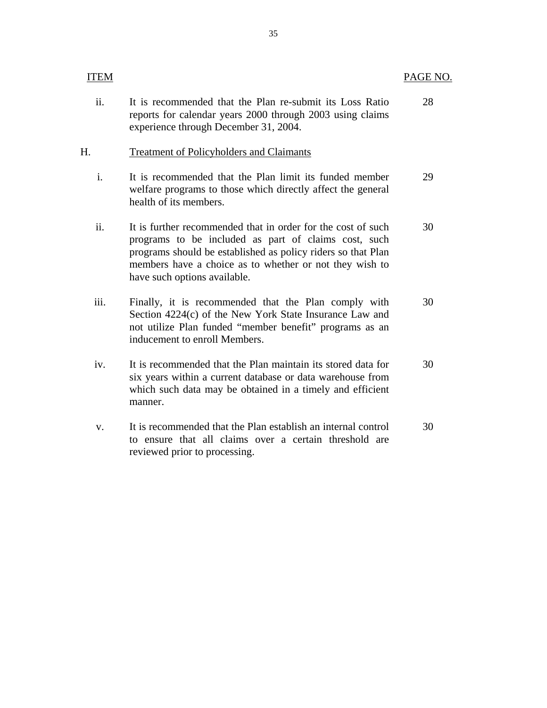| <b>ITEM</b>    |                                                                                                                                                                                                                                                                                 | PAGE NO. |
|----------------|---------------------------------------------------------------------------------------------------------------------------------------------------------------------------------------------------------------------------------------------------------------------------------|----------|
| ii.            | It is recommended that the Plan re-submit its Loss Ratio<br>reports for calendar years 2000 through 2003 using claims<br>experience through December 31, 2004.                                                                                                                  | 28       |
| Н.             | <b>Treatment of Policyholders and Claimants</b>                                                                                                                                                                                                                                 |          |
| $\mathbf{i}$ . | It is recommended that the Plan limit its funded member<br>welfare programs to those which directly affect the general<br>health of its members.                                                                                                                                | 29       |
| ii.            | It is further recommended that in order for the cost of such<br>programs to be included as part of claims cost, such<br>programs should be established as policy riders so that Plan<br>members have a choice as to whether or not they wish to<br>have such options available. | 30       |
| iii.           | Finally, it is recommended that the Plan comply with<br>Section 4224(c) of the New York State Insurance Law and<br>not utilize Plan funded "member benefit" programs as an<br>inducement to enroll Members.                                                                     | 30       |
| iv.            | It is recommended that the Plan maintain its stored data for<br>six years within a current database or data warehouse from<br>which such data may be obtained in a timely and efficient<br>manner.                                                                              | 30       |
| V.             | It is recommended that the Plan establish an internal control<br>to ensure that all claims over a certain threshold are<br>reviewed prior to processing.                                                                                                                        | 30       |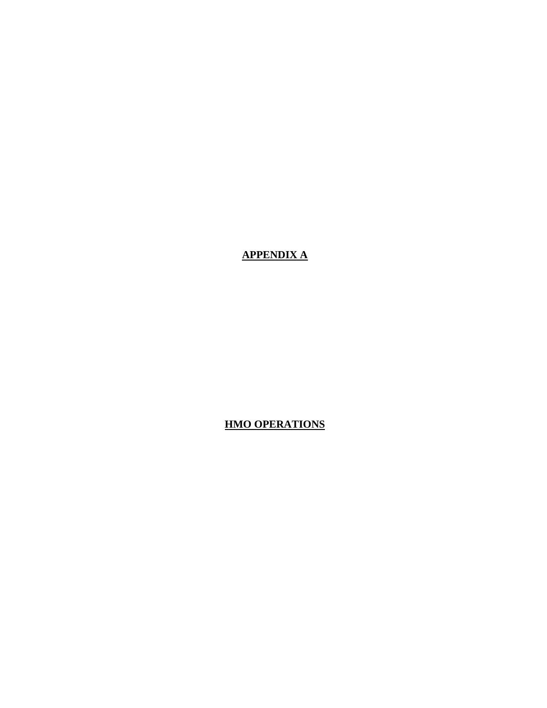**APPENDIX A** 

**HMO OPERATIONS**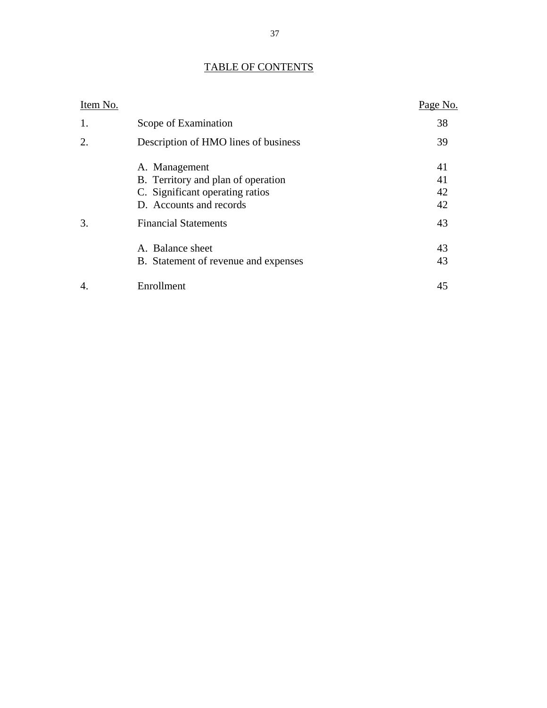| <b>TABLE OF CONTENTS</b> |
|--------------------------|
|--------------------------|

| Item No. |                                      | Page No. |
|----------|--------------------------------------|----------|
| 1.       | Scope of Examination                 | 38       |
| 2.       | Description of HMO lines of business | 39       |
|          | A. Management                        | 41       |
|          | B. Territory and plan of operation   | 41       |
|          | C. Significant operating ratios      | 42       |
|          | D. Accounts and records              | 42       |
| 3.       | <b>Financial Statements</b>          | 43       |
|          | A. Balance sheet                     | 43       |
|          | B. Statement of revenue and expenses | 43       |
| 4.       | Enrollment                           | 45       |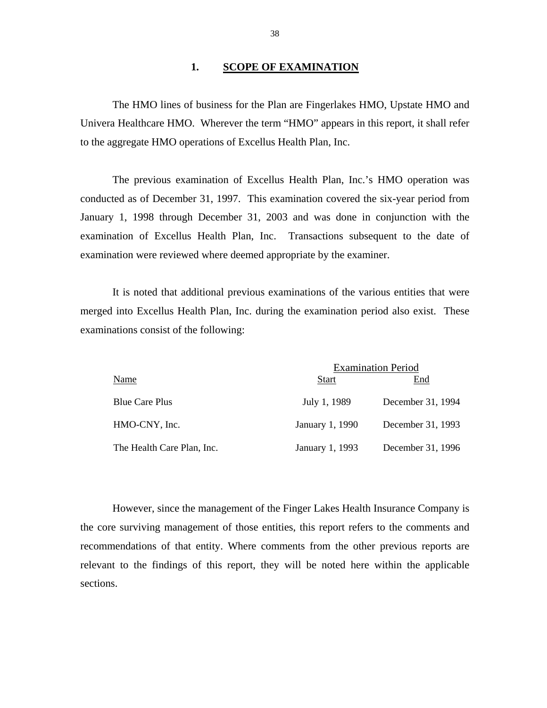#### 1. **SCOPE OF EXAMINATION**

The HMO lines of business for the Plan are Fingerlakes HMO, Upstate HMO and Univera Healthcare HMO. Wherever the term "HMO" appears in this report, it shall refer to the aggregate HMO operations of Excellus Health Plan, Inc.

The previous examination of Excellus Health Plan, Inc.'s HMO operation was conducted as of December 31, 1997. This examination covered the six-year period from January 1, 1998 through December 31, 2003 and was done in conjunction with the examination of Excellus Health Plan, Inc. Transactions subsequent to the date of examination were reviewed where deemed appropriate by the examiner.

It is noted that additional previous examinations of the various entities that were merged into Excellus Health Plan, Inc. during the examination period also exist. These examinations consist of the following:

|                            |                 | <b>Examination Period</b> |
|----------------------------|-----------------|---------------------------|
| Name                       | <b>Start</b>    | End                       |
| <b>Blue Care Plus</b>      | July 1, 1989    | December 31, 1994         |
| HMO-CNY, Inc.              | January 1, 1990 | December 31, 1993         |
| The Health Care Plan, Inc. | January 1, 1993 | December 31, 1996         |

However, since the management of the Finger Lakes Health Insurance Company is the core surviving management of those entities, this report refers to the comments and recommendations of that entity. Where comments from the other previous reports are relevant to the findings of this report, they will be noted here within the applicable sections.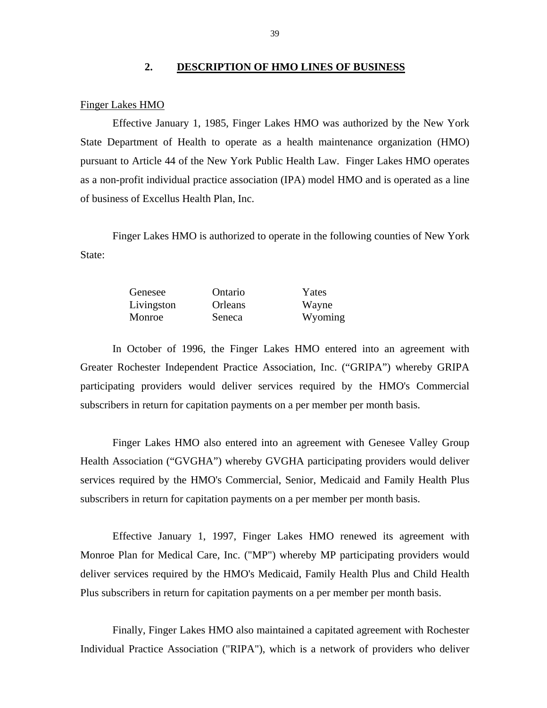#### **2. DESCRIPTION OF HMO LINES OF BUSINESS**

#### Finger Lakes HMO

Effective January 1, 1985, Finger Lakes HMO was authorized by the New York State Department of Health to operate as a health maintenance organization (HMO) pursuant to Article 44 of the New York Public Health Law. Finger Lakes HMO operates as a non-profit individual practice association (IPA) model HMO and is operated as a line of business of Excellus Health Plan, Inc.

Finger Lakes HMO is authorized to operate in the following counties of New York State:

| Genesee    | Ontario | Yates   |
|------------|---------|---------|
| Livingston | Orleans | Wayne   |
| Monroe     | Seneca  | Wyoming |

In October of 1996, the Finger Lakes HMO entered into an agreement with Greater Rochester Independent Practice Association, Inc. ("GRIPA") whereby GRIPA participating providers would deliver services required by the HMO's Commercial subscribers in return for capitation payments on a per member per month basis.

Finger Lakes HMO also entered into an agreement with Genesee Valley Group Health Association ("GVGHA") whereby GVGHA participating providers would deliver services required by the HMO's Commercial, Senior, Medicaid and Family Health Plus subscribers in return for capitation payments on a per member per month basis.

Effective January 1, 1997, Finger Lakes HMO renewed its agreement with Monroe Plan for Medical Care, Inc. ("MP") whereby MP participating providers would deliver services required by the HMO's Medicaid, Family Health Plus and Child Health Plus subscribers in return for capitation payments on a per member per month basis.

Finally, Finger Lakes HMO also maintained a capitated agreement with Rochester Individual Practice Association ("RIPA"), which is a network of providers who deliver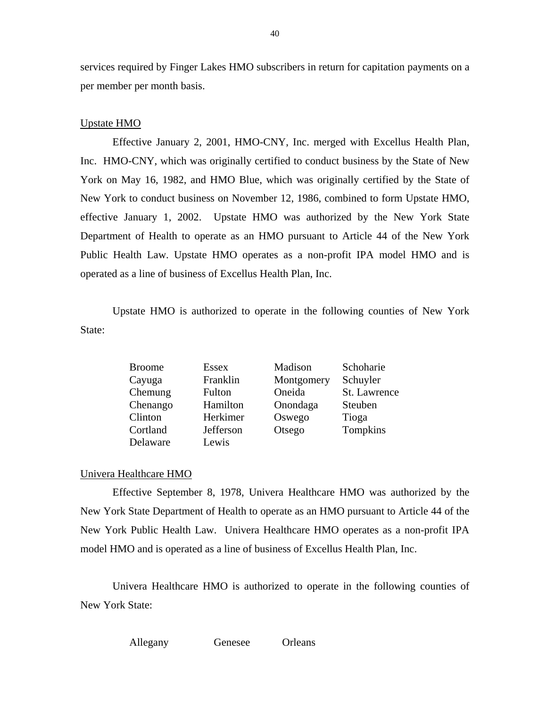services required by Finger Lakes HMO subscribers in return for capitation payments on a per member per month basis.

#### Upstate HMO

Effective January 2, 2001, HMO-CNY, Inc. merged with Excellus Health Plan, Inc. HMO-CNY, which was originally certified to conduct business by the State of New York on May 16, 1982, and HMO Blue, which was originally certified by the State of New York to conduct business on November 12, 1986, combined to form Upstate HMO, effective January 1, 2002. Upstate HMO was authorized by the New York State Department of Health to operate as an HMO pursuant to Article 44 of the New York Public Health Law. Upstate HMO operates as a non-profit IPA model HMO and is operated as a line of business of Excellus Health Plan, Inc.

Upstate HMO is authorized to operate in the following counties of New York State:

| <b>Broome</b> | <b>Essex</b> | Madison    | Schoharie    |
|---------------|--------------|------------|--------------|
| Cayuga        | Franklin     | Montgomery | Schuyler     |
| Chemung       | Fulton       | Oneida     | St. Lawrence |
| Chenango      | Hamilton     | Onondaga   | Steuben      |
| Clinton       | Herkimer     | Oswego     | Tioga        |
| Cortland      | Jefferson    | Otsego     | Tompkins     |
| Delaware      | Lewis        |            |              |

#### Univera Healthcare HMO

Effective September 8, 1978, Univera Healthcare HMO was authorized by the New York State Department of Health to operate as an HMO pursuant to Article 44 of the New York Public Health Law. Univera Healthcare HMO operates as a non-profit IPA model HMO and is operated as a line of business of Excellus Health Plan, Inc.

Univera Healthcare HMO is authorized to operate in the following counties of New York State:

Allegany Genesee Orleans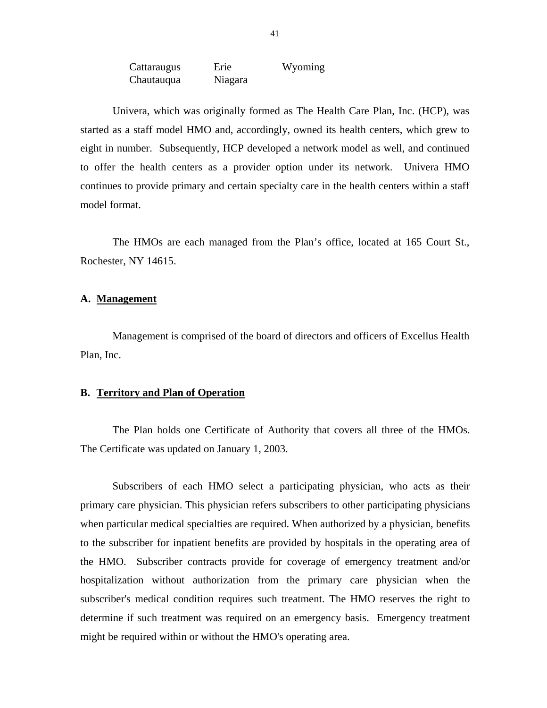| Cattaraugus | Erie    | Wyoming |
|-------------|---------|---------|
| Chautauqua  | Niagara |         |

<span id="page-42-0"></span>Univera, which was originally formed as The Health Care Plan, Inc. (HCP), was started as a staff model HMO and, accordingly, owned its health centers, which grew to eight in number. Subsequently, HCP developed a network model as well, and continued to offer the health centers as a provider option under its network. Univera HMO continues to provide primary and certain specialty care in the health centers within a staff model format.

The HMOs are each managed from the Plan's office, located at 165 Court St., Rochester, NY 14615.

#### A. Management

Management is comprised of the board of directors and officers of Excellus Health Plan, Inc.

#### **B. Territory and Plan of Operation**

The Plan holds one Certificate of Authority that covers all three of the HMOs. The Certificate was updated on January 1, 2003.

Subscribers of each HMO select a participating physician, who acts as their primary care physician. This physician refers subscribers to other participating physicians when particular medical specialties are required. When authorized by a physician, benefits to the subscriber for inpatient benefits are provided by hospitals in the operating area of the HMO. Subscriber contracts provide for coverage of emergency treatment and/or hospitalization without authorization from the primary care physician when the subscriber's medical condition requires such treatment. The HMO reserves the right to determine if such treatment was required on an emergency basis. Emergency treatment might be required within or without the HMO's operating area.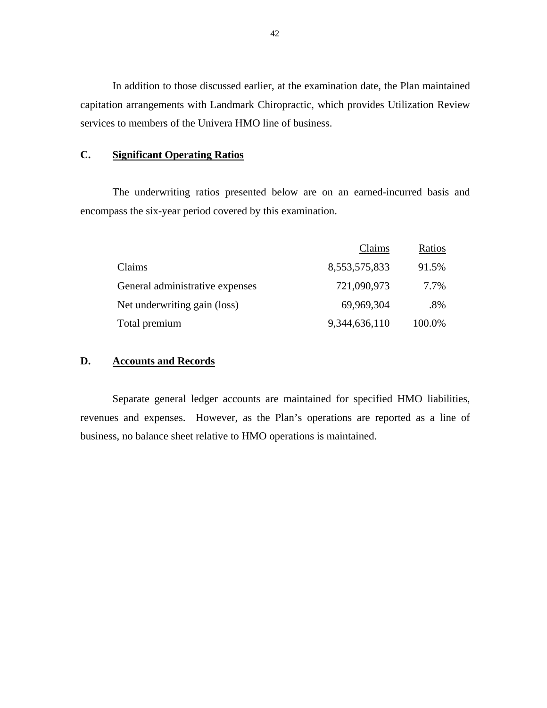In addition to those discussed earlier, at the examination date, the Plan maintained capitation arrangements with Landmark Chiropractic, which provides Utilization Review services to members of the Univera HMO line of business.

## **C. Significant Operating Ratios**

The underwriting ratios presented below are on an earned-incurred basis and encompass the six-year period covered by this examination.

|                                 | Claims        | Ratios |
|---------------------------------|---------------|--------|
| Claims                          | 8,553,575,833 | 91.5%  |
| General administrative expenses | 721,090,973   | 7.7%   |
| Net underwriting gain (loss)    | 69,969,304    | .8%    |
| Total premium                   | 9,344,636,110 | 100.0% |

# **D. Accounts and Records**

Separate general ledger accounts are maintained for specified HMO liabilities, revenues and expenses. However, as the Plan's operations are reported as a line of business, no balance sheet relative to HMO operations is maintained.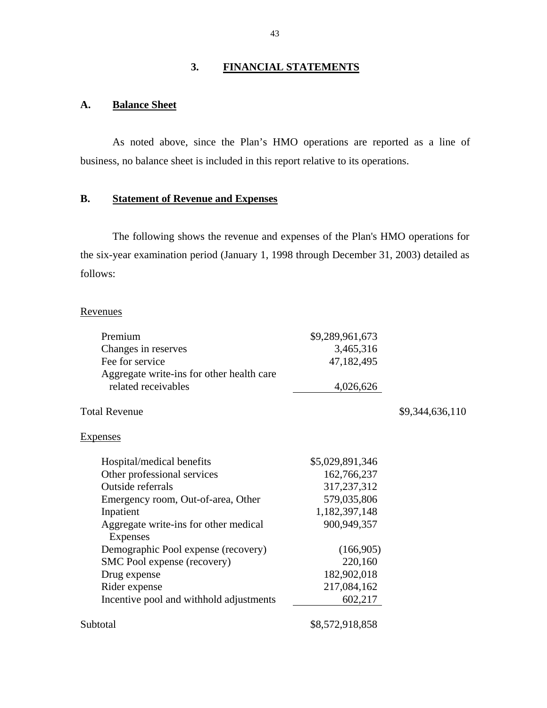## **3. FINANCIAL STATEMENTS**

# **A. Balance Sheet**

As noted above, since the Plan's HMO operations are reported as a line of business, no balance sheet is included in this report relative to its operations.

# **B. Statement of Revenue and Expenses**

The following shows the revenue and expenses of the Plan's HMO operations for the six-year examination period (January 1, 1998 through December 31, 2003) detailed as follows:

| Revenues                                                         |                 |                 |
|------------------------------------------------------------------|-----------------|-----------------|
| Premium                                                          | \$9,289,961,673 |                 |
| Changes in reserves                                              | 3,465,316       |                 |
| Fee for service                                                  | 47,182,495      |                 |
| Aggregate write-ins for other health care<br>related receivables | 4,026,626       |                 |
| <b>Total Revenue</b>                                             |                 | \$9,344,636,110 |
| <b>Expenses</b>                                                  |                 |                 |
| Hospital/medical benefits                                        | \$5,029,891,346 |                 |
| Other professional services                                      | 162,766,237     |                 |
| Outside referrals                                                | 317,237,312     |                 |
| Emergency room, Out-of-area, Other                               | 579,035,806     |                 |
| Inpatient                                                        | 1,182,397,148   |                 |
| Aggregate write-ins for other medical<br><b>Expenses</b>         | 900,949,357     |                 |
| Demographic Pool expense (recovery)                              | (166,905)       |                 |
| SMC Pool expense (recovery)                                      | 220,160         |                 |
| Drug expense                                                     | 182,902,018     |                 |
| Rider expense                                                    | 217,084,162     |                 |
| Incentive pool and withhold adjustments                          | 602,217         |                 |
| Subtotal                                                         | \$8,572,918,858 |                 |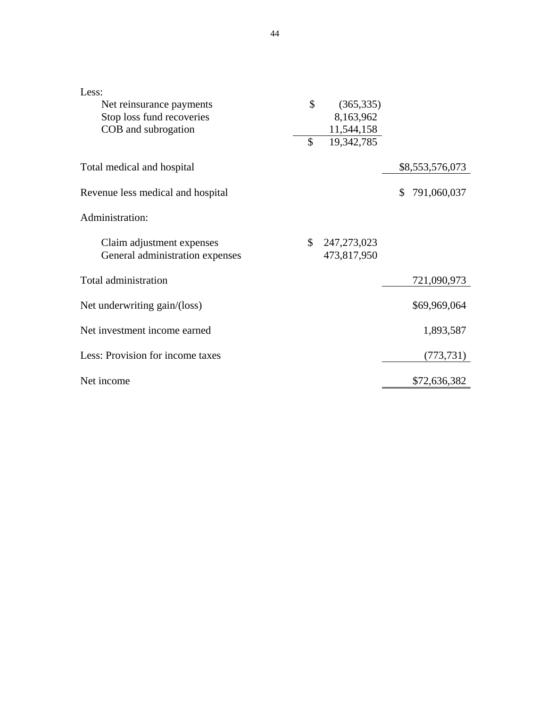| Less:                             |                   |                   |
|-----------------------------------|-------------------|-------------------|
| Net reinsurance payments          | \$<br>(365, 335)  |                   |
| Stop loss fund recoveries         | 8,163,962         |                   |
| COB and subrogation               | 11,544,158        |                   |
|                                   | \$<br>19,342,785  |                   |
| Total medical and hospital        |                   | \$8,553,576,073   |
| Revenue less medical and hospital |                   | 791,060,037<br>\$ |
| Administration:                   |                   |                   |
| Claim adjustment expenses         | \$<br>247,273,023 |                   |
| General administration expenses   | 473,817,950       |                   |
| Total administration              |                   | 721,090,973       |
| Net underwriting gain/(loss)      |                   | \$69,969,064      |
| Net investment income earned      |                   | 1,893,587         |
| Less: Provision for income taxes  |                   | (773, 731)        |
| Net income                        |                   | \$72,636,382      |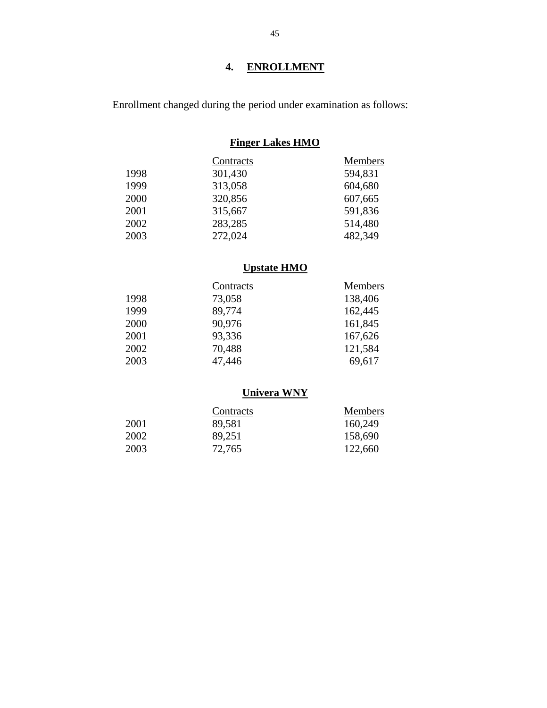# **4. ENROLLMENT**

Enrollment changed during the period under examination as follows:

# **Finger Lakes HMO**

|      | Contracts | Members |
|------|-----------|---------|
| 1998 | 301,430   | 594,831 |
| 1999 | 313,058   | 604,680 |
| 2000 | 320,856   | 607,665 |
| 2001 | 315,667   | 591,836 |
| 2002 | 283,285   | 514,480 |
| 2003 | 272,024   | 482,349 |

# **Upstate HMO**

|      | Contracts | Members |
|------|-----------|---------|
| 1998 | 73,058    | 138,406 |
| 1999 | 89,774    | 162,445 |
| 2000 | 90,976    | 161,845 |
| 2001 | 93,336    | 167,626 |
| 2002 | 70,488    | 121,584 |
| 2003 | 47,446    | 69,617  |

# **Univera WNY**

|      | Contracts | <b>Members</b> |
|------|-----------|----------------|
| 2001 | 89,581    | 160,249        |
| 2002 | 89,251    | 158,690        |
| 2003 | 72,765    | 122,660        |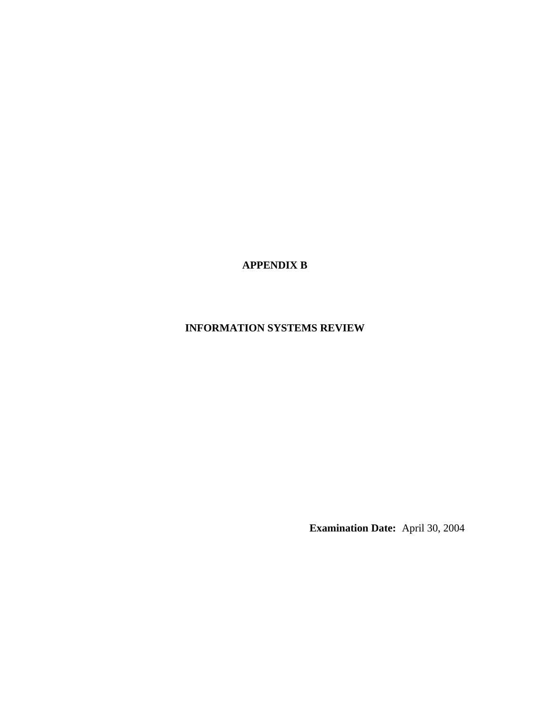**APPENDIX B** 

# **INFORMATION SYSTEMS REVIEW**

**Examination Date:** April 30, 2004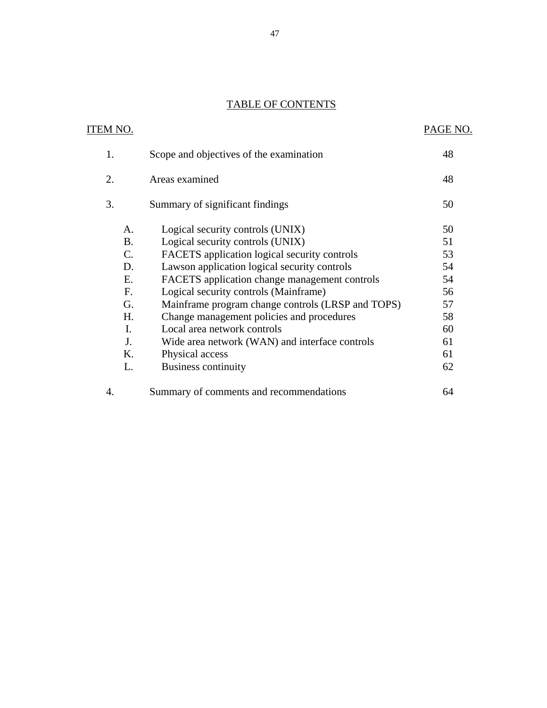# **TABLE OF CONTENTS**

| <b>TABLE OF CONTENTS</b>           |                                                                                                                      |                |
|------------------------------------|----------------------------------------------------------------------------------------------------------------------|----------------|
| ITEM NO.                           |                                                                                                                      | PAGE NO.       |
| 1.                                 | Scope and objectives of the examination                                                                              | 48             |
| 2.                                 | Areas examined                                                                                                       | 48             |
| 3.                                 | Summary of significant findings                                                                                      | 50             |
| A.<br><b>B.</b><br>$\mathcal{C}$ . | Logical security controls (UNIX)<br>Logical security controls (UNIX)<br>FACETS application logical security controls | 50<br>51<br>53 |
| D.<br>Ε.                           | Lawson application logical security controls<br>FACETS application change management controls                        | 54<br>54       |
| F <sub>r</sub><br>G.               | Logical security controls (Mainframe)<br>Mainframe program change controls (LRSP and TOPS)                           | 56<br>57       |
| H.<br>$\mathbf{I}$ .               | Change management policies and procedures<br>Local area network controls                                             | 58<br>60       |
| J.<br>K.<br>L.                     | Wide area network (WAN) and interface controls<br>Physical access<br><b>Business continuity</b>                      | 61<br>61<br>62 |
| 4.                                 | Summary of comments and recommendations                                                                              | 64             |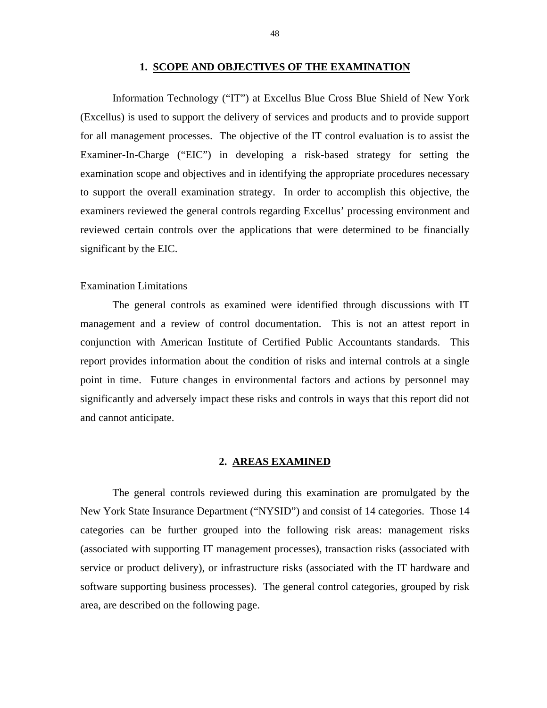#### **1. SCOPE AND OBJECTIVES OF THE EXAMINATION**

<span id="page-49-0"></span>Information Technology ("IT") at Excellus Blue Cross Blue Shield of New York (Excellus) is used to support the delivery of services and products and to provide support for all management processes. The objective of the IT control evaluation is to assist the Examiner-In-Charge ("EIC") in developing a risk-based strategy for setting the examination scope and objectives and in identifying the appropriate procedures necessary to support the overall examination strategy. In order to accomplish this objective, the examiners reviewed the general controls regarding Excellus' processing environment and reviewed certain controls over the applications that were determined to be financially significant by the EIC.

#### Examination Limitations

The general controls as examined were identified through discussions with IT management and a review of control documentation. This is not an attest report in conjunction with American Institute of Certified Public Accountants standards. This report provides information about the condition of risks and internal controls at a single point in time. Future changes in environmental factors and actions by personnel may significantly and adversely impact these risks and controls in ways that this report did not and cannot anticipate.

#### **2. AREAS EXAMINED**

The general controls reviewed during this examination are promulgated by the New York State Insurance Department ("NYSID") and consist of 14 categories. Those 14 categories can be further grouped into the following risk areas: management risks (associated with supporting IT management processes), transaction risks (associated with service or product delivery), or infrastructure risks (associated with the IT hardware and software supporting business processes). The general control categories, grouped by risk area, are described on the following page.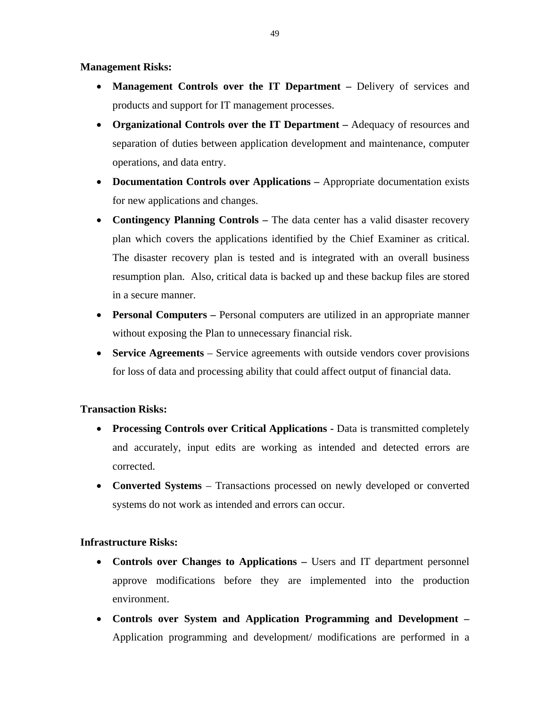#### **Management Risks:**

- **Management Controls over the IT Department** Delivery of services and products and support for IT management processes.
- **Organizational Controls over the IT Department** Adequacy of resources and separation of duties between application development and maintenance, computer operations, and data entry.
- **Documentation Controls over Applications** Appropriate documentation exists for new applications and changes.
- **Contingency Planning Controls** The data center has a valid disaster recovery plan which covers the applications identified by the Chief Examiner as critical. The disaster recovery plan is tested and is integrated with an overall business resumption plan. Also, critical data is backed up and these backup files are stored in a secure manner.
- **Personal Computers** Personal computers are utilized in an appropriate manner without exposing the Plan to unnecessary financial risk.
- **Service Agreements** Service agreements with outside vendors cover provisions for loss of data and processing ability that could affect output of financial data.

#### **Transaction Risks:**

- **Processing Controls over Critical Applications -** Data is transmitted completely and accurately, input edits are working as intended and detected errors are corrected.
- **Converted Systems** Transactions processed on newly developed or converted systems do not work as intended and errors can occur.

#### **Infrastructure Risks:**

- **Controls over Changes to Applications Users and IT department personnel** approve modifications before they are implemented into the production environment.
- **Controls over System and Application Programming and Development**  Application programming and development/ modifications are performed in a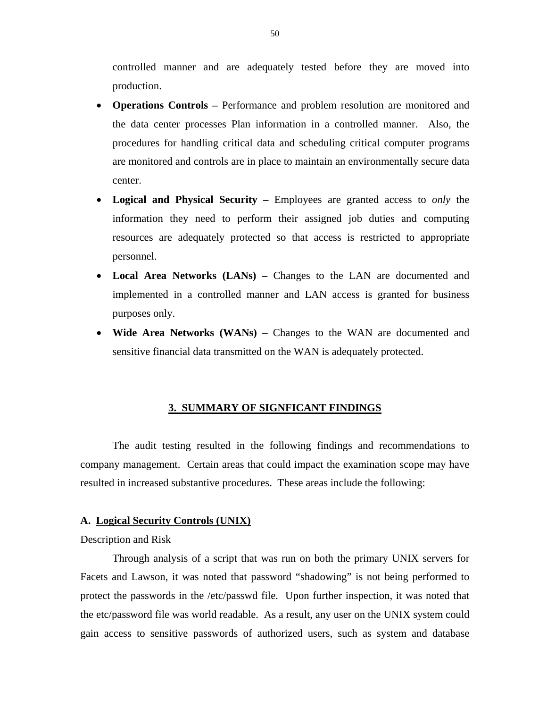<span id="page-51-0"></span>controlled manner and are adequately tested before they are moved into production.

- **Operations Controls –** Performance and problem resolution are monitored and the data center processes Plan information in a controlled manner. Also, the procedures for handling critical data and scheduling critical computer programs are monitored and controls are in place to maintain an environmentally secure data center.
- **Logical and Physical Security** Employees are granted access to *only* the information they need to perform their assigned job duties and computing resources are adequately protected so that access is restricted to appropriate personnel.
- Local Area Networks (LANs) Changes to the LAN are documented and implemented in a controlled manner and LAN access is granted for business purposes only.
- **Wide Area Networks (WANs)** Changes to the WAN are documented and sensitive financial data transmitted on the WAN is adequately protected.

#### **3. SUMMARY OF SIGNFICANT FINDINGS**

The audit testing resulted in the following findings and recommendations to company management. Certain areas that could impact the examination scope may have resulted in increased substantive procedures. These areas include the following:

#### **A. Logical Security Controls (UNIX)**

#### Description and Risk

Through analysis of a script that was run on both the primary UNIX servers for Facets and Lawson, it was noted that password "shadowing" is not being performed to protect the passwords in the /etc/passwd file. Upon further inspection, it was noted that the etc/password file was world readable. As a result, any user on the UNIX system could gain access to sensitive passwords of authorized users, such as system and database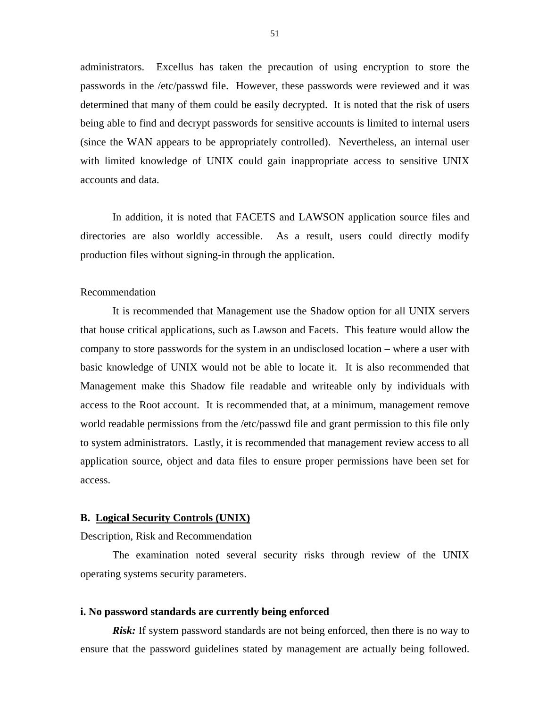<span id="page-52-0"></span>administrators. Excellus has taken the precaution of using encryption to store the passwords in the /etc/passwd file. However, these passwords were reviewed and it was determined that many of them could be easily decrypted. It is noted that the risk of users being able to find and decrypt passwords for sensitive accounts is limited to internal users (since the WAN appears to be appropriately controlled). Nevertheless, an internal user with limited knowledge of UNIX could gain inappropriate access to sensitive UNIX accounts and data.

In addition, it is noted that FACETS and LAWSON application source files and directories are also worldly accessible. As a result, users could directly modify production files without signing-in through the application.

#### Recommendation

It is recommended that Management use the Shadow option for all UNIX servers that house critical applications, such as Lawson and Facets. This feature would allow the company to store passwords for the system in an undisclosed location – where a user with basic knowledge of UNIX would not be able to locate it. It is also recommended that Management make this Shadow file readable and writeable only by individuals with access to the Root account. It is recommended that, at a minimum, management remove world readable permissions from the /etc/passwd file and grant permission to this file only to system administrators. Lastly, it is recommended that management review access to all application source, object and data files to ensure proper permissions have been set for access.

#### **B. Logical Security Controls (UNIX)**

Description, Risk and Recommendation

The examination noted several security risks through review of the UNIX operating systems security parameters.

#### **i. No password standards are currently being enforced**

*Risk:* If system password standards are not being enforced, then there is no way to ensure that the password guidelines stated by management are actually being followed.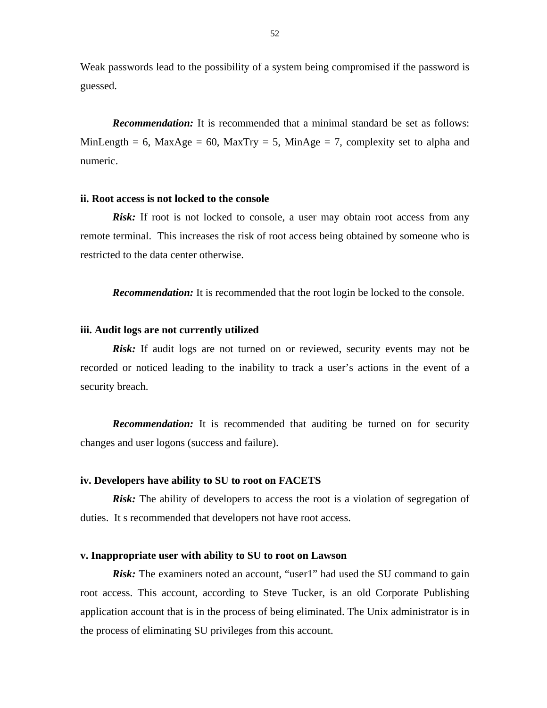Weak passwords lead to the possibility of a system being compromised if the password is guessed.

*Recommendation:* It is recommended that a minimal standard be set as follows: MinLength = 6, MaxAge = 60, MaxTry = 5, MinAge = 7, complexity set to alpha and numeric.

#### **ii. Root access is not locked to the console**

*Risk:* If root is not locked to console, a user may obtain root access from any remote terminal. This increases the risk of root access being obtained by someone who is restricted to the data center otherwise.

*Recommendation:* It is recommended that the root login be locked to the console.

#### **iii. Audit logs are not currently utilized**

*Risk:* If audit logs are not turned on or reviewed, security events may not be recorded or noticed leading to the inability to track a user's actions in the event of a security breach.

*Recommendation:* It is recommended that auditing be turned on for security changes and user logons (success and failure).

#### **iv. Developers have ability to SU to root on FACETS**

*Risk:* The ability of developers to access the root is a violation of segregation of duties. It s recommended that developers not have root access.

#### **v. Inappropriate user with ability to SU to root on Lawson**

*Risk:* The examiners noted an account, "user1" had used the SU command to gain root access. This account, according to Steve Tucker, is an old Corporate Publishing application account that is in the process of being eliminated. The Unix administrator is in the process of eliminating SU privileges from this account.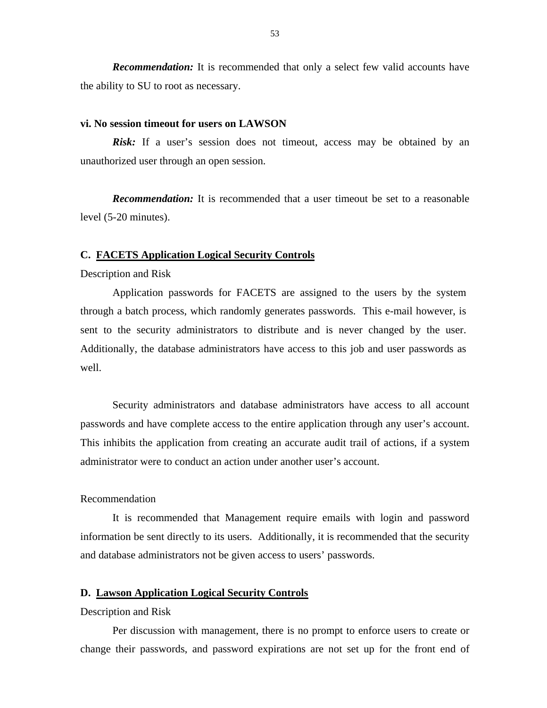<span id="page-54-0"></span>*Recommendation:* It is recommended that only a select few valid accounts have the ability to SU to root as necessary.

#### **vi. No session timeout for users on LAWSON**

*Risk:* If a user's session does not timeout, access may be obtained by an unauthorized user through an open session.

*Recommendation:* It is recommended that a user timeout be set to a reasonable level (5-20 minutes).

#### **C. FACETS Application Logical Security Controls**

#### Description and Risk

Application passwords for FACETS are assigned to the users by the system through a batch process, which randomly generates passwords. This e-mail however, is sent to the security administrators to distribute and is never changed by the user. Additionally, the database administrators have access to this job and user passwords as well.

Security administrators and database administrators have access to all account passwords and have complete access to the entire application through any user's account. This inhibits the application from creating an accurate audit trail of actions, if a system administrator were to conduct an action under another user's account.

#### Recommendation

It is recommended that Management require emails with login and password information be sent directly to its users. Additionally, it is recommended that the security and database administrators not be given access to users' passwords.

#### **D. Lawson Application Logical Security Controls**

#### Description and Risk

Per discussion with management, there is no prompt to enforce users to create or change their passwords, and password expirations are not set up for the front end of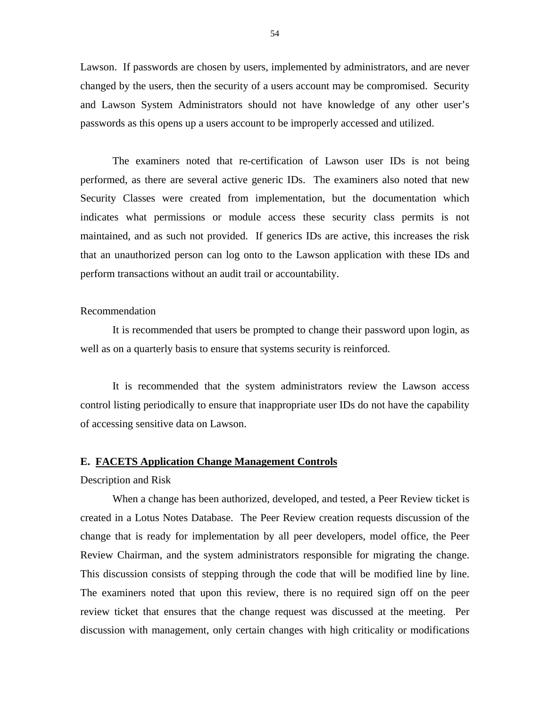<span id="page-55-0"></span>Lawson. If passwords are chosen by users, implemented by administrators, and are never changed by the users, then the security of a users account may be compromised. Security and Lawson System Administrators should not have knowledge of any other user's passwords as this opens up a users account to be improperly accessed and utilized.

The examiners noted that re-certification of Lawson user IDs is not being performed, as there are several active generic IDs. The examiners also noted that new Security Classes were created from implementation, but the documentation which indicates what permissions or module access these security class permits is not maintained, and as such not provided. If generics IDs are active, this increases the risk that an unauthorized person can log onto to the Lawson application with these IDs and perform transactions without an audit trail or accountability.

#### Recommendation

It is recommended that users be prompted to change their password upon login, as well as on a quarterly basis to ensure that systems security is reinforced.

It is recommended that the system administrators review the Lawson access control listing periodically to ensure that inappropriate user IDs do not have the capability of accessing sensitive data on Lawson.

#### **E. FACETS Application Change Management Controls**

Description and Risk

When a change has been authorized, developed, and tested, a Peer Review ticket is created in a Lotus Notes Database. The Peer Review creation requests discussion of the change that is ready for implementation by all peer developers, model office, the Peer Review Chairman, and the system administrators responsible for migrating the change. This discussion consists of stepping through the code that will be modified line by line. The examiners noted that upon this review, there is no required sign off on the peer review ticket that ensures that the change request was discussed at the meeting. Per discussion with management, only certain changes with high criticality or modifications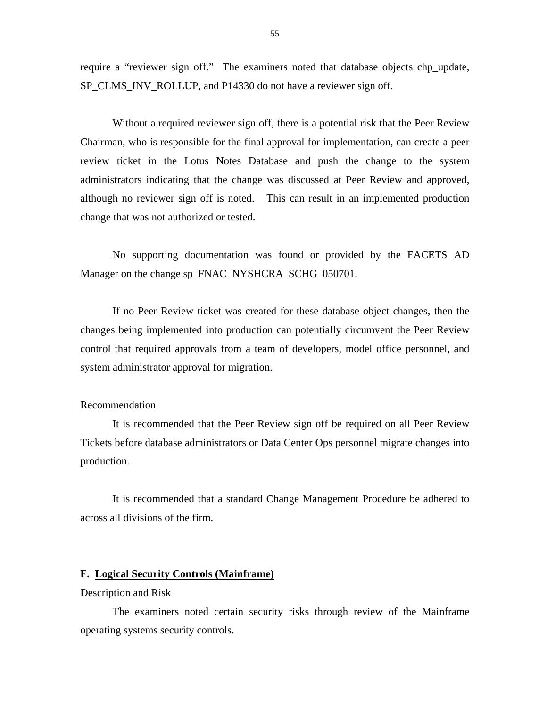require a "reviewer sign off." The examiners noted that database objects chp\_update, SP\_CLMS\_INV\_ROLLUP, and P14330 do not have a reviewer sign off.

Without a required reviewer sign off, there is a potential risk that the Peer Review Chairman, who is responsible for the final approval for implementation, can create a peer review ticket in the Lotus Notes Database and push the change to the system administrators indicating that the change was discussed at Peer Review and approved, although no reviewer sign off is noted. This can result in an implemented production change that was not authorized or tested.

No supporting documentation was found or provided by the FACETS AD Manager on the change sp\_FNAC\_NYSHCRA\_SCHG\_050701.

If no Peer Review ticket was created for these database object changes, then the changes being implemented into production can potentially circumvent the Peer Review control that required approvals from a team of developers, model office personnel, and system administrator approval for migration.

#### Recommendation

It is recommended that the Peer Review sign off be required on all Peer Review Tickets before database administrators or Data Center Ops personnel migrate changes into production.

It is recommended that a standard Change Management Procedure be adhered to across all divisions of the firm.

#### **F. Logical Security Controls (Mainframe)**

Description and Risk

The examiners noted certain security risks through review of the Mainframe operating systems security controls.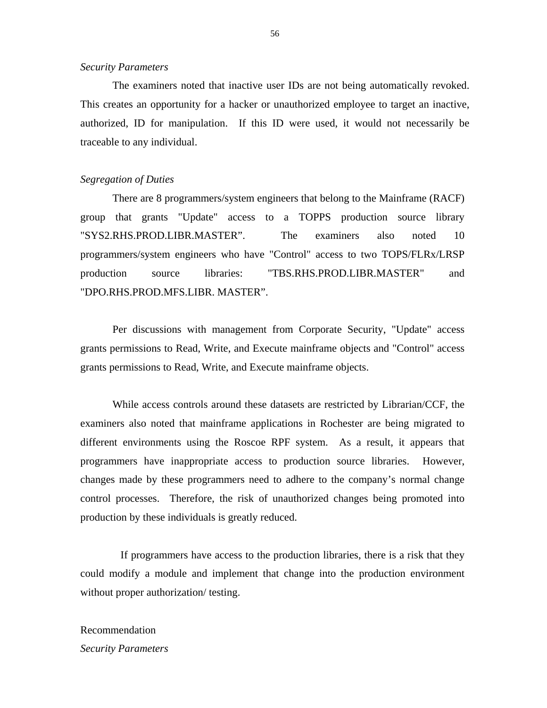#### <span id="page-57-0"></span>*Security Parameters*

The examiners noted that inactive user IDs are not being automatically revoked. This creates an opportunity for a hacker or unauthorized employee to target an inactive, authorized, ID for manipulation. If this ID were used, it would not necessarily be traceable to any individual.

#### *Segregation of Duties*

There are 8 programmers/system engineers that belong to the Mainframe (RACF) group that grants "Update" access to a TOPPS production source library "SYS2.RHS.PROD.LIBR.MASTER". The examiners also noted 10 programmers/system engineers who have "Control" access to two TOPS/FLRx/LRSP production source libraries: "TBS.RHS.PROD.LIBR.MASTER" and "DPO.RHS.PROD.MFS.LIBR. MASTER".

Per discussions with management from Corporate Security, "Update" access grants permissions to Read, Write, and Execute mainframe objects and "Control" access grants permissions to Read, Write, and Execute mainframe objects.

While access controls around these datasets are restricted by Librarian/CCF, the examiners also noted that mainframe applications in Rochester are being migrated to different environments using the Roscoe RPF system. As a result, it appears that programmers have inappropriate access to production source libraries. However, changes made by these programmers need to adhere to the company's normal change control processes. Therefore, the risk of unauthorized changes being promoted into production by these individuals is greatly reduced.

If programmers have access to the production libraries, there is a risk that they could modify a module and implement that change into the production environment without proper authorization/ testing.

#### Recommendation

*Security Parameters*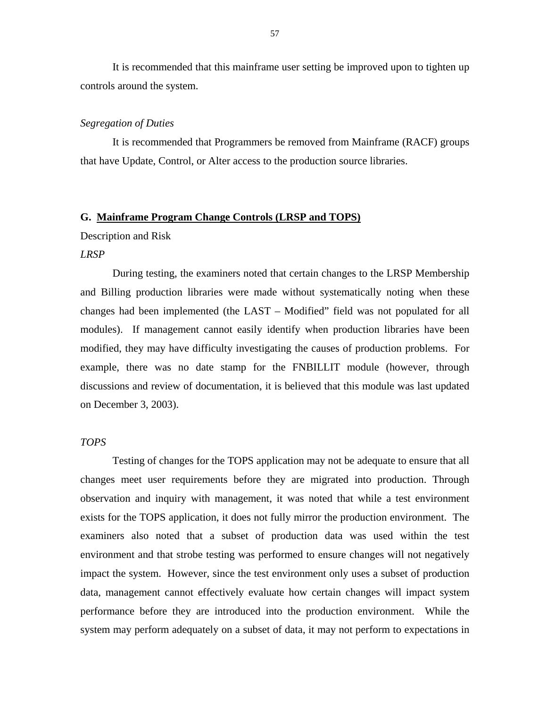<span id="page-58-0"></span>It is recommended that this mainframe user setting be improved upon to tighten up controls around the system.

#### *Segregation of Duties*

It is recommended that Programmers be removed from Mainframe (RACF) groups that have Update, Control, or Alter access to the production source libraries.

#### **G. Mainframe Program Change Controls (LRSP and TOPS)**

#### Description and Risk

#### *LRSP*

During testing, the examiners noted that certain changes to the LRSP Membership and Billing production libraries were made without systematically noting when these changes had been implemented (the LAST – Modified" field was not populated for all modules). If management cannot easily identify when production libraries have been modified, they may have difficulty investigating the causes of production problems. For example, there was no date stamp for the FNBILLIT module (however, through discussions and review of documentation, it is believed that this module was last updated on December 3, 2003).

#### *TOPS*

Testing of changes for the TOPS application may not be adequate to ensure that all changes meet user requirements before they are migrated into production. Through observation and inquiry with management, it was noted that while a test environment exists for the TOPS application, it does not fully mirror the production environment. The examiners also noted that a subset of production data was used within the test environment and that strobe testing was performed to ensure changes will not negatively impact the system. However, since the test environment only uses a subset of production data, management cannot effectively evaluate how certain changes will impact system performance before they are introduced into the production environment. While the system may perform adequately on a subset of data, it may not perform to expectations in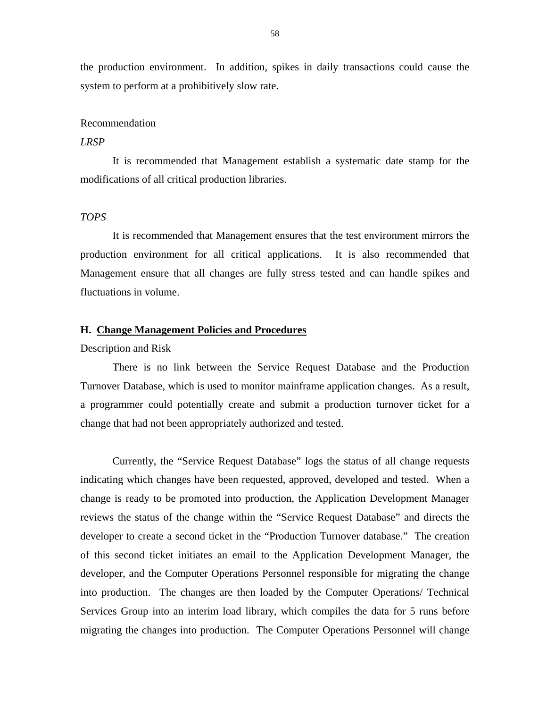<span id="page-59-0"></span>the production environment. In addition, spikes in daily transactions could cause the system to perform at a prohibitively slow rate.

#### Recommendation

#### *LRSP*

It is recommended that Management establish a systematic date stamp for the modifications of all critical production libraries.

#### *TOPS*

It is recommended that Management ensures that the test environment mirrors the production environment for all critical applications. It is also recommended that Management ensure that all changes are fully stress tested and can handle spikes and fluctuations in volume.

#### **H. Change Management Policies and Procedures**

#### Description and Risk

There is no link between the Service Request Database and the Production Turnover Database, which is used to monitor mainframe application changes. As a result, a programmer could potentially create and submit a production turnover ticket for a change that had not been appropriately authorized and tested.

Currently, the "Service Request Database" logs the status of all change requests indicating which changes have been requested, approved, developed and tested. When a change is ready to be promoted into production, the Application Development Manager reviews the status of the change within the "Service Request Database" and directs the developer to create a second ticket in the "Production Turnover database." The creation of this second ticket initiates an email to the Application Development Manager, the developer, and the Computer Operations Personnel responsible for migrating the change into production. The changes are then loaded by the Computer Operations/ Technical Services Group into an interim load library, which compiles the data for 5 runs before migrating the changes into production. The Computer Operations Personnel will change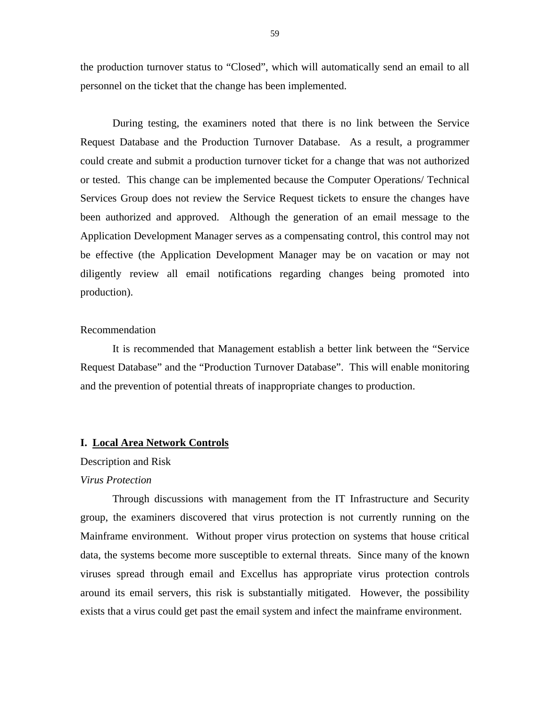the production turnover status to "Closed", which will automatically send an email to all personnel on the ticket that the change has been implemented.

During testing, the examiners noted that there is no link between the Service Request Database and the Production Turnover Database. As a result, a programmer could create and submit a production turnover ticket for a change that was not authorized or tested. This change can be implemented because the Computer Operations/ Technical Services Group does not review the Service Request tickets to ensure the changes have been authorized and approved. Although the generation of an email message to the Application Development Manager serves as a compensating control, this control may not be effective (the Application Development Manager may be on vacation or may not diligently review all email notifications regarding changes being promoted into production).

#### Recommendation

It is recommended that Management establish a better link between the "Service Request Database" and the "Production Turnover Database". This will enable monitoring and the prevention of potential threats of inappropriate changes to production.

#### **I. Local Area Network Controls**

#### Description and Risk

#### *Virus Protection*

Through discussions with management from the IT Infrastructure and Security group, the examiners discovered that virus protection is not currently running on the Mainframe environment. Without proper virus protection on systems that house critical data, the systems become more susceptible to external threats. Since many of the known viruses spread through email and Excellus has appropriate virus protection controls around its email servers, this risk is substantially mitigated. However, the possibility exists that a virus could get past the email system and infect the mainframe environment.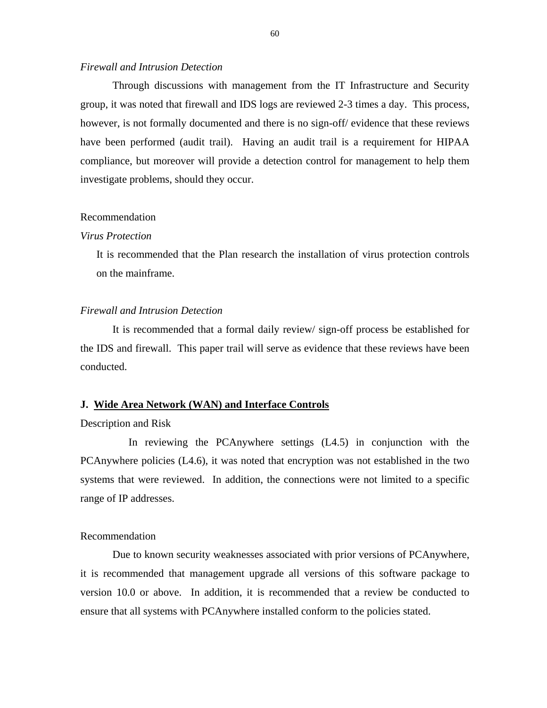#### <span id="page-61-0"></span>*Firewall and Intrusion Detection*

Through discussions with management from the IT Infrastructure and Security group, it was noted that firewall and IDS logs are reviewed 2-3 times a day. This process, however, is not formally documented and there is no sign-off/ evidence that these reviews have been performed (audit trail). Having an audit trail is a requirement for HIPAA compliance, but moreover will provide a detection control for management to help them investigate problems, should they occur.

#### Recommendation

#### *Virus Protection*

It is recommended that the Plan research the installation of virus protection controls on the mainframe.

#### *Firewall and Intrusion Detection*

It is recommended that a formal daily review/ sign-off process be established for the IDS and firewall. This paper trail will serve as evidence that these reviews have been conducted.

### **J. Wide Area Network (WAN) and Interface Controls**

#### Description and Risk

In reviewing the PCAnywhere settings (L4.5) in conjunction with the PCAnywhere policies (L4.6), it was noted that encryption was not established in the two systems that were reviewed. In addition, the connections were not limited to a specific range of IP addresses.

#### Recommendation

Due to known security weaknesses associated with prior versions of PCAnywhere, it is recommended that management upgrade all versions of this software package to version 10.0 or above. In addition, it is recommended that a review be conducted to ensure that all systems with PCAnywhere installed conform to the policies stated.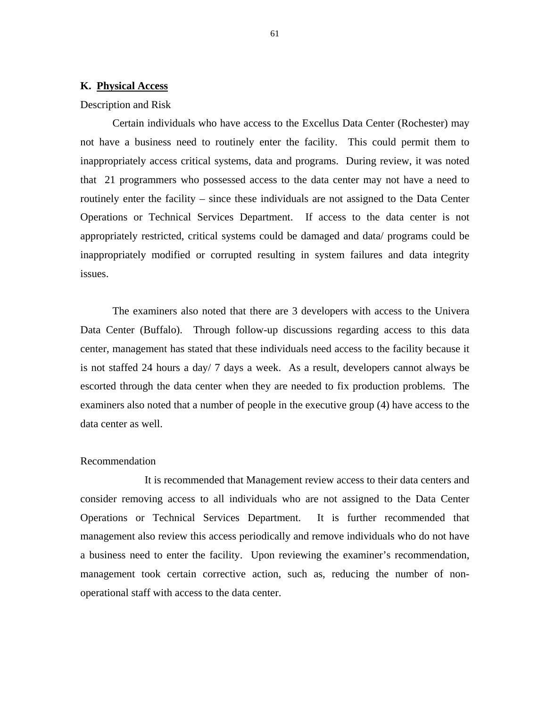#### <span id="page-62-0"></span>**K. Physical Access**

#### Description and Risk

Certain individuals who have access to the Excellus Data Center (Rochester) may not have a business need to routinely enter the facility. This could permit them to inappropriately access critical systems, data and programs. During review, it was noted that 21 programmers who possessed access to the data center may not have a need to routinely enter the facility – since these individuals are not assigned to the Data Center Operations or Technical Services Department. If access to the data center is not appropriately restricted, critical systems could be damaged and data/ programs could be inappropriately modified or corrupted resulting in system failures and data integrity issues.

The examiners also noted that there are 3 developers with access to the Univera Data Center (Buffalo). Through follow-up discussions regarding access to this data center, management has stated that these individuals need access to the facility because it is not staffed 24 hours a day/ 7 days a week. As a result, developers cannot always be escorted through the data center when they are needed to fix production problems. The examiners also noted that a number of people in the executive group (4) have access to the data center as well.

#### Recommendation

It is recommended that Management review access to their data centers and consider removing access to all individuals who are not assigned to the Data Center Operations or Technical Services Department. It is further recommended that management also review this access periodically and remove individuals who do not have a business need to enter the facility. Upon reviewing the examiner's recommendation, management took certain corrective action, such as, reducing the number of nonoperational staff with access to the data center.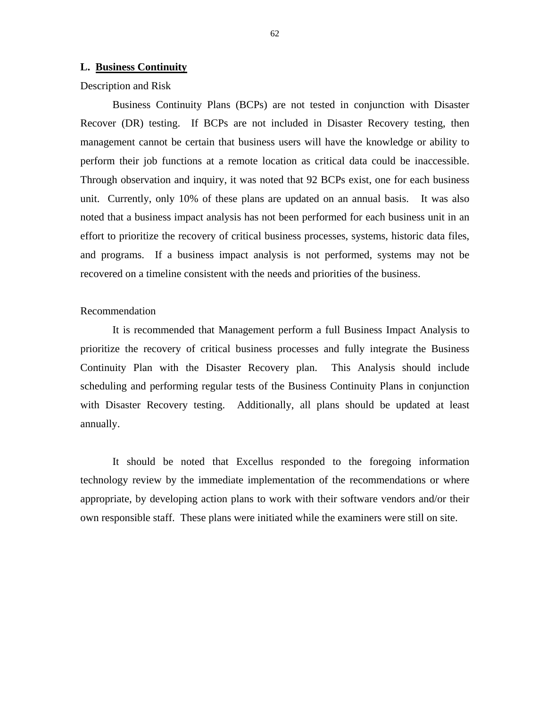#### <span id="page-63-0"></span>**L. Business Continuity**

Description and Risk

Business Continuity Plans (BCPs) are not tested in conjunction with Disaster Recover (DR) testing. If BCPs are not included in Disaster Recovery testing, then management cannot be certain that business users will have the knowledge or ability to perform their job functions at a remote location as critical data could be inaccessible. Through observation and inquiry, it was noted that 92 BCPs exist, one for each business unit. Currently, only 10% of these plans are updated on an annual basis. It was also noted that a business impact analysis has not been performed for each business unit in an effort to prioritize the recovery of critical business processes, systems, historic data files, and programs. If a business impact analysis is not performed, systems may not be recovered on a timeline consistent with the needs and priorities of the business.

#### Recommendation

It is recommended that Management perform a full Business Impact Analysis to prioritize the recovery of critical business processes and fully integrate the Business Continuity Plan with the Disaster Recovery plan. This Analysis should include scheduling and performing regular tests of the Business Continuity Plans in conjunction with Disaster Recovery testing. Additionally, all plans should be updated at least annually.

It should be noted that Excellus responded to the foregoing information technology review by the immediate implementation of the recommendations or where appropriate, by developing action plans to work with their software vendors and/or their own responsible staff. These plans were initiated while the examiners were still on site.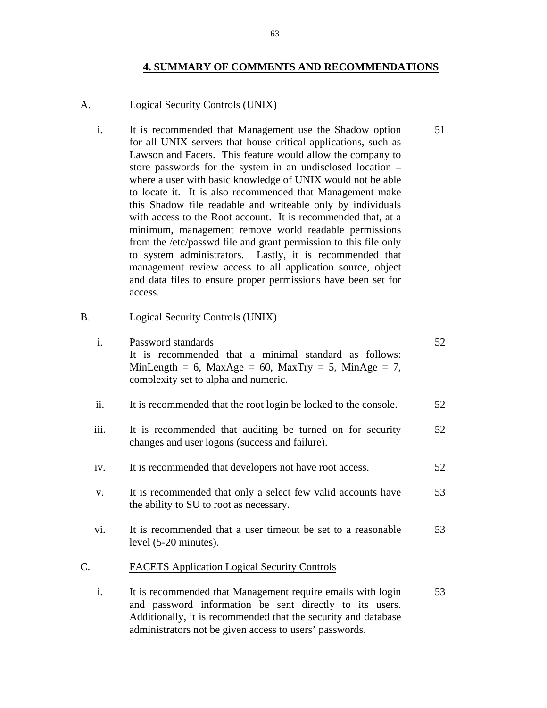#### **4. SUMMARY OF COMMENTS AND RECOMMENDATIONS**

51

#### Logical Security Controls (UNIX)

A. Logical Security Controls (UNIX)<br>i. It is recommended that Management use the Shadow option for all UNIX servers that house critical applications, such as Lawson and Facets. This feature would allow the company to store passwords for the system in an undisclosed location – where a user with basic knowledge of UNIX would not be able to locate it. It is also recommended that Management make this Shadow file readable and writeable only by individuals with access to the Root account. It is recommended that, at a minimum, management remove world readable permissions from the /etc/passwd file and grant permission to this file only to system administrators. Lastly, it is recommended that management review access to all application source, object and data files to ensure proper permissions have been set for access.

# B. Logical Security Controls (UNIX)<br>i. Password standards

| $\mathbf{i}$ . | Password standards<br>It is recommended that a minimal standard as follows:<br>MinLength = 6, MaxAge = 60, MaxTry = 5, MinAge = 7,<br>complexity set to alpha and numeric.                                                                          | 52 |
|----------------|-----------------------------------------------------------------------------------------------------------------------------------------------------------------------------------------------------------------------------------------------------|----|
| ii.            | It is recommended that the root login be locked to the console.                                                                                                                                                                                     | 52 |
| iii.           | It is recommended that auditing be turned on for security<br>changes and user logons (success and failure).                                                                                                                                         | 52 |
| iv.            | It is recommended that developers not have root access.                                                                                                                                                                                             | 52 |
| V.             | It is recommended that only a select few valid accounts have<br>the ability to SU to root as necessary.                                                                                                                                             | 53 |
| vi.            | It is recommended that a user timeout be set to a reasonable<br>level $(5-20 \text{ minutes})$ .                                                                                                                                                    | 53 |
| C.             | <b>FACETS Application Logical Security Controls</b>                                                                                                                                                                                                 |    |
| i.             | It is recommended that Management require emails with login<br>and password information be sent directly to its users.<br>Additionally, it is recommended that the security and database<br>administrators not be given access to users' passwords. | 53 |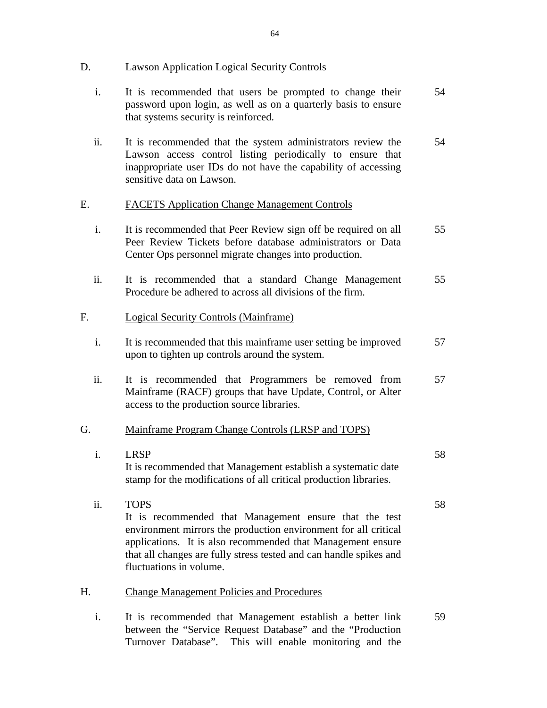**Lawson Application Logical Security Controls** 

- D. Lawson Application Logical Security Controls<br>i. It is recommended that users be prompted to change their password upon login, as well as on a quarterly basis to ensure that systems security is reinforced. 54
	- ii. It is recommended that the system administrators review the Lawson access control listing periodically to ensure that inappropriate user IDs do not have the capability of accessing sensitive data on Lawson. 54

### **FACETS Application Change Management Controls**

- E. FACETS Application Change Management Controls<br>i. It is recommended that Peer Review sign off be required on all Peer Review Tickets before database administrators or Data Center Ops personnel migrate changes into production. 55
	- ii. It is recommended that a standard Change Management Procedure be adhered to across all divisions of the firm. 55

#### Logical Security Controls (Mainframe)

- F. Logical Security Controls (Mainframe)<br>i. It is recommended that this mainframe user setting be improved upon to tighten up controls around the system. 57
	- ii. It is recommended that Programmers be removed from Mainframe (RACF) groups that have Update, Control, or Alter access to the production source libraries. 57

G. Mainframe Program Change Controls (LRSP and TOPS)<br>i. LRSP It is recommended that Management establish a systematic date stamp for the modifications of all critical production libraries. 58

58

- ii. TOPS It is recommended that Management ensure that the test environment mirrors the production environment for all critical applications. It is also recommended that Management ensure that all changes are fully stress tested and can handle spikes and fluctuations in volume.
- **Change Management Policies and Procedures**
- H. Change Management Policies and Procedures<br>i. It is recommended that Management establish a better link between the "Service Request Database" and the "Production Turnover Database". This will enable monitoring and the 59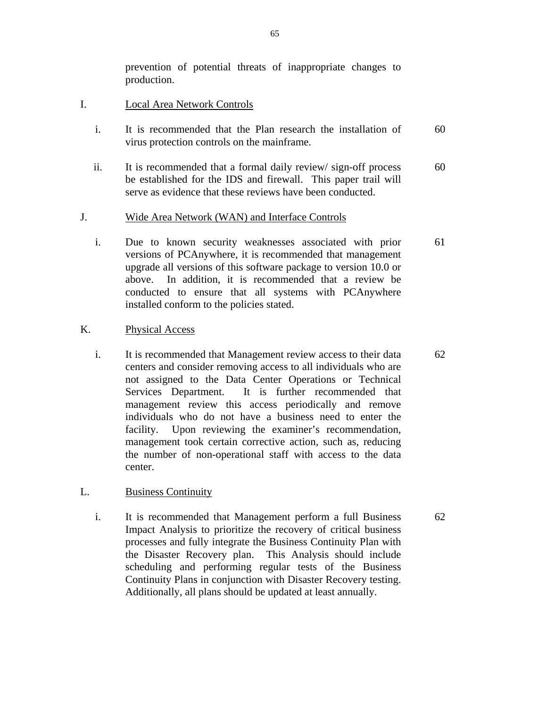prevention of potential threats of inappropriate changes to production.

- **Local Area Network Controls**
- I. Local Area Network Controls<br>i. It is recommended that the Plan research the installation of virus protection controls on the mainframe. 60
	- ii. It is recommended that a formal daily review/ sign-off process be established for the IDS and firewall. This paper trail will serve as evidence that these reviews have been conducted. 60

#### Wide Area Network (WAN) and Interface Controls

J. Wide Area Network (WAN) and Interface Controls i. Due to known security weaknesses associated with prior versions of PCAnywhere, it is recommended that management upgrade all versions of this software package to version 10.0 or above. In addition, it is recommended that a review be conducted to ensure that all systems with PCAnywhere installed conform to the policies stated. 61

#### **Physical Access**

K. Physical Access<br>i. It is recommended that Management review access to their data centers and consider removing access to all individuals who are not assigned to the Data Center Operations or Technical Services Department. It is further recommended that management review this access periodically and remove individuals who do not have a business need to enter the facility. Upon reviewing the examiner's recommendation, management took certain corrective action, such as, reducing the number of non-operational staff with access to the data center. 62

#### **Business Continuity**

L. Business Continuity<br>i. It is recommended that Management perform a full Business Impact Analysis to prioritize the recovery of critical business processes and fully integrate the Business Continuity Plan with the Disaster Recovery plan. This Analysis should include scheduling and performing regular tests of the Business Continuity Plans in conjunction with Disaster Recovery testing. Additionally, all plans should be updated at least annually.

62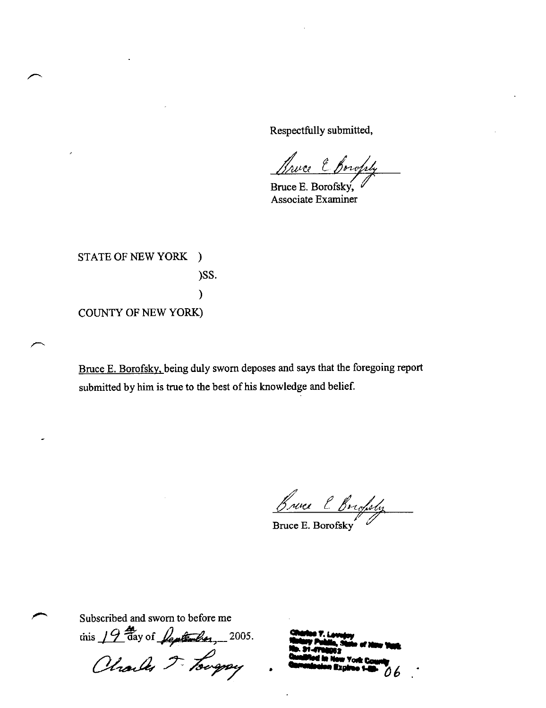Respectfully submitted,

we E Bowfly

Bruce E. Borofsky, Associate Examiner

STATE OF NEW YORK ) )SS.  $\mathcal{E}$ **COUNTY OF NEW YORK)** 

Bruce E. Borofsky, being duly sworn deposes and says that the foregoing report submitted by him is true to the best of his knowledge and belief.

Bruce l Brighty

Bruce E. Borofsky

Subscribed and sworn to before me

this 19 thay of Jeptember, 2005.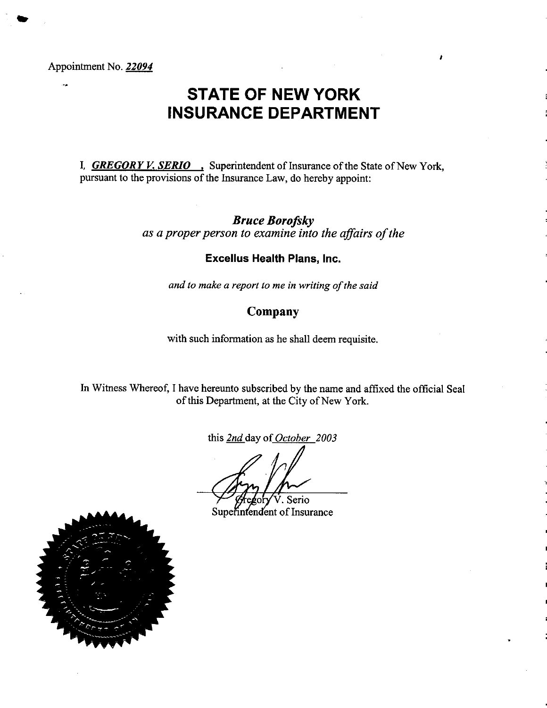Appointment No. 22094

# **STATE OF NEW YORK INSURANCE DEPARTMENT**

I, **GREGORY V. SERIO**, Superintendent of Insurance of the State of New York, pursuant to the provisions of the Insurance Law, do hereby appoint:

> **Bruce Borofsky** as a proper person to examine into the affairs of the

# **Excellus Health Plans, Inc.**

and to make a report to me in writing of the said

# Company

with such information as he shall deem requisite.

In Witness Whereof, I have hereunto subscribed by the name and affixed the official Seal of this Department, at the City of New York.

this 2nd day of October 2003

Serio

Superintendent of Insurance